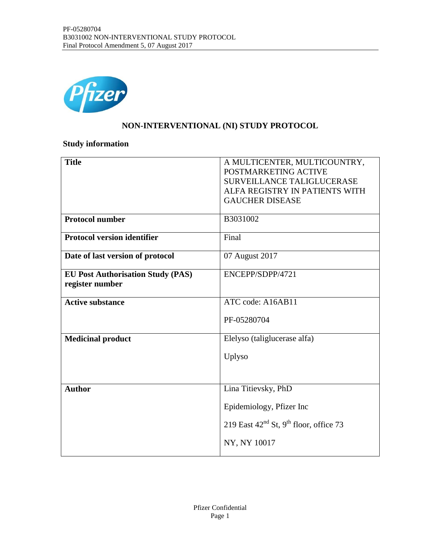

### **NON-INTERVENTIONAL (NI) STUDY PROTOCOL**

# **Study information**

| <b>Title</b>                             | A MULTICENTER, MULTICOUNTRY,                         |
|------------------------------------------|------------------------------------------------------|
|                                          | POSTMARKETING ACTIVE                                 |
|                                          | SURVEILLANCE TALIGLUCERASE                           |
|                                          | ALFA REGISTRY IN PATIENTS WITH                       |
|                                          | <b>GAUCHER DISEASE</b>                               |
|                                          |                                                      |
| <b>Protocol number</b>                   | B3031002                                             |
|                                          |                                                      |
| <b>Protocol version identifier</b>       | Final                                                |
|                                          |                                                      |
| Date of last version of protocol         | 07 August 2017                                       |
| <b>EU Post Authorisation Study (PAS)</b> | ENCEPP/SDPP/4721                                     |
| register number                          |                                                      |
|                                          |                                                      |
| <b>Active substance</b>                  | ATC code: A16AB11                                    |
|                                          |                                                      |
|                                          | PF-05280704                                          |
|                                          |                                                      |
| <b>Medicinal product</b>                 | Elelyso (taliglucerase alfa)                         |
|                                          |                                                      |
|                                          | Uplyso                                               |
|                                          |                                                      |
|                                          |                                                      |
| <b>Author</b>                            | Lina Titievsky, PhD                                  |
|                                          |                                                      |
|                                          | Epidemiology, Pfizer Inc.                            |
|                                          | 219 East $42nd$ St, 9 <sup>th</sup> floor, office 73 |
|                                          |                                                      |
|                                          | NY, NY 10017                                         |
|                                          |                                                      |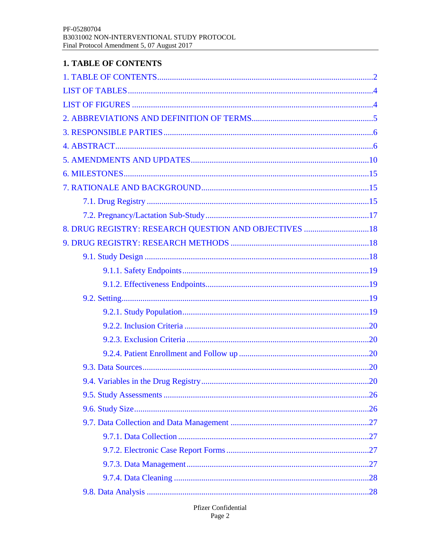# <span id="page-1-0"></span>**1. TABLE OF CONTENTS**

| 8. DRUG REGISTRY: RESEARCH QUESTION AND OBJECTIVES  18 |  |
|--------------------------------------------------------|--|
|                                                        |  |
|                                                        |  |
|                                                        |  |
|                                                        |  |
|                                                        |  |
|                                                        |  |
|                                                        |  |
|                                                        |  |
|                                                        |  |
|                                                        |  |
|                                                        |  |
|                                                        |  |
|                                                        |  |
|                                                        |  |
|                                                        |  |
|                                                        |  |
|                                                        |  |
|                                                        |  |
|                                                        |  |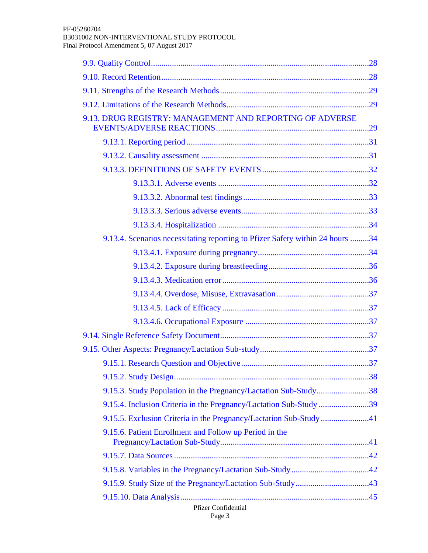| Pfizer Confidential                                                           |  |
|-------------------------------------------------------------------------------|--|
|                                                                               |  |
|                                                                               |  |
|                                                                               |  |
| 9.15.6. Patient Enrollment and Follow up Period in the                        |  |
|                                                                               |  |
|                                                                               |  |
| 9.15.3. Study Population in the Pregnancy/Lactation Sub-Study38               |  |
|                                                                               |  |
|                                                                               |  |
|                                                                               |  |
|                                                                               |  |
|                                                                               |  |
|                                                                               |  |
|                                                                               |  |
|                                                                               |  |
|                                                                               |  |
|                                                                               |  |
| 9.13.4. Scenarios necessitating reporting to Pfizer Safety within 24 hours 34 |  |
|                                                                               |  |
|                                                                               |  |
|                                                                               |  |
|                                                                               |  |
|                                                                               |  |
|                                                                               |  |
| 9.13. DRUG REGISTRY: MANAGEMENT AND REPORTING OF ADVERSE                      |  |
|                                                                               |  |
|                                                                               |  |
|                                                                               |  |
|                                                                               |  |
|                                                                               |  |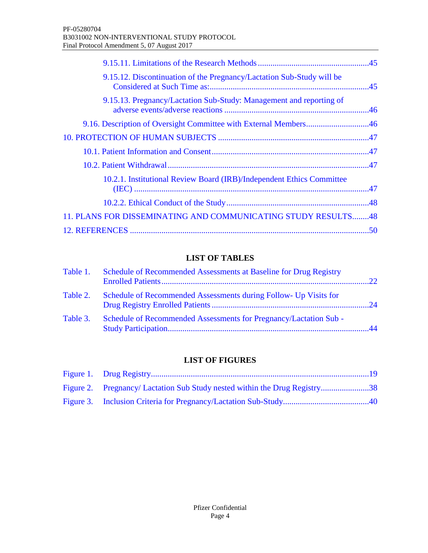| 9.15.12. Discontinuation of the Pregnancy/Lactation Sub-Study will be |  |
|-----------------------------------------------------------------------|--|
| 9.15.13. Pregnancy/Lactation Sub-Study: Management and reporting of   |  |
| 9.16. Description of Oversight Committee with External Members46      |  |
|                                                                       |  |
|                                                                       |  |
|                                                                       |  |
| 10.2.1. Institutional Review Board (IRB)/Independent Ethics Committee |  |
|                                                                       |  |
| 11. PLANS FOR DISSEMINATING AND COMMUNICATING STUDY RESULTS48         |  |
|                                                                       |  |

# **LIST OF TABLES**

<span id="page-3-0"></span>

| Table 1. | Schedule of Recommended Assessments at Baseline for Drug Registry | 22 <sub>1</sub>                            |
|----------|-------------------------------------------------------------------|--------------------------------------------|
| Table 2. | Schedule of Recommended Assessments during Follow- Up Visits for  |                                            |
| Table 3. | Schedule of Recommended Assessments for Pregnancy/Lactation Sub - | $\boldsymbol{\Lambda}\boldsymbol{\Lambda}$ |

#### **LIST OF FIGURES**

<span id="page-3-1"></span>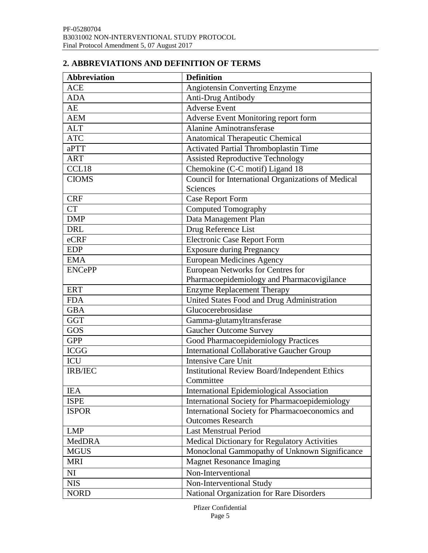# <span id="page-4-0"></span>**2. ABBREVIATIONS AND DEFINITION OF TERMS**

| <b>Abbreviation</b> | <b>Definition</b>                                    |
|---------------------|------------------------------------------------------|
| <b>ACE</b>          | <b>Angiotensin Converting Enzyme</b>                 |
| <b>ADA</b>          | Anti-Drug Antibody                                   |
| AE                  | <b>Adverse Event</b>                                 |
| <b>AEM</b>          | Adverse Event Monitoring report form                 |
| <b>ALT</b>          | <b>Alanine Aminotransferase</b>                      |
| <b>ATC</b>          | Anatomical Therapeutic Chemical                      |
| aPTT                | Activated Partial Thromboplastin Time                |
| <b>ART</b>          | <b>Assisted Reproductive Technology</b>              |
| CCL18               | Chemokine (C-C motif) Ligand 18                      |
| <b>CIOMS</b>        | Council for International Organizations of Medical   |
|                     | Sciences                                             |
| <b>CRF</b>          | <b>Case Report Form</b>                              |
| <b>CT</b>           | <b>Computed Tomography</b>                           |
| <b>DMP</b>          | Data Management Plan                                 |
| <b>DRL</b>          | Drug Reference List                                  |
| eCRF                | <b>Electronic Case Report Form</b>                   |
| <b>EDP</b>          | <b>Exposure during Pregnancy</b>                     |
| <b>EMA</b>          | <b>European Medicines Agency</b>                     |
| <b>ENCePP</b>       | European Networks for Centres for                    |
|                     | Pharmacoepidemiology and Pharmacovigilance           |
| <b>ERT</b>          | <b>Enzyme Replacement Therapy</b>                    |
| <b>FDA</b>          | United States Food and Drug Administration           |
| <b>GBA</b>          | Glucocerebrosidase                                   |
| <b>GGT</b>          | Gamma-glutamyltransferase                            |
| GOS                 | <b>Gaucher Outcome Survey</b>                        |
| <b>GPP</b>          | Good Pharmacoepidemiology Practices                  |
| <b>ICGG</b>         | <b>International Collaborative Gaucher Group</b>     |
| <b>ICU</b>          | <b>Intensive Care Unit</b>                           |
| IRB/IEC             | <b>Institutional Review Board/Independent Ethics</b> |
|                     | Committee                                            |
| <b>IEA</b>          | International Epidemiological Association            |
| <b>ISPE</b>         | International Society for Pharmacoepidemiology       |
| <b>ISPOR</b>        | International Society for Pharmacoeconomics and      |
|                     | <b>Outcomes Research</b>                             |
| <b>LMP</b>          | <b>Last Menstrual Period</b>                         |
| MedDRA              | Medical Dictionary for Regulatory Activities         |
| <b>MGUS</b>         | Monoclonal Gammopathy of Unknown Significance        |
| <b>MRI</b>          | <b>Magnet Resonance Imaging</b>                      |
| NI                  | Non-Interventional                                   |
| <b>NIS</b>          | Non-Interventional Study                             |
| <b>NORD</b>         | National Organization for Rare Disorders             |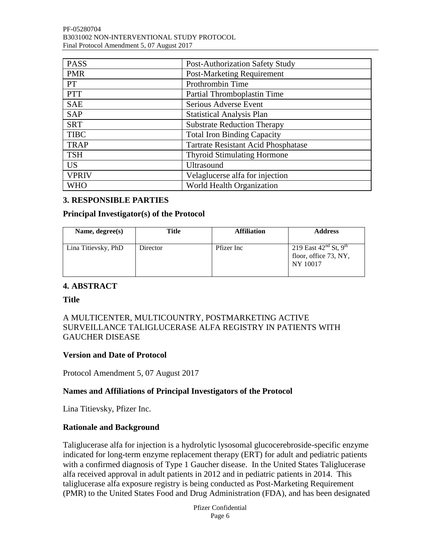| <b>PASS</b>  | Post-Authorization Safety Study            |
|--------------|--------------------------------------------|
| <b>PMR</b>   | <b>Post-Marketing Requirement</b>          |
| <b>PT</b>    | Prothrombin Time                           |
| <b>PTT</b>   | Partial Thromboplastin Time                |
| <b>SAE</b>   | Serious Adverse Event                      |
| <b>SAP</b>   | <b>Statistical Analysis Plan</b>           |
| <b>SRT</b>   | <b>Substrate Reduction Therapy</b>         |
| <b>TIBC</b>  | <b>Total Iron Binding Capacity</b>         |
| <b>TRAP</b>  | <b>Tartrate Resistant Acid Phosphatase</b> |
| <b>TSH</b>   | <b>Thyroid Stimulating Hormone</b>         |
| <b>US</b>    | <b>Ultrasound</b>                          |
| <b>VPRIV</b> | Velaglucerse alfa for injection            |
| <b>WHO</b>   | World Health Organization                  |

#### <span id="page-5-0"></span>**3. RESPONSIBLE PARTIES**

#### **Principal Investigator(s) of the Protocol**

| Name, degree(s)     | Title    | <b>Affiliation</b> | <b>Address</b>                                                              |
|---------------------|----------|--------------------|-----------------------------------------------------------------------------|
| Lina Titievsky, PhD | Director | Pfizer Inc         | 219 East $42^{nd}$ St, 9 <sup>th</sup><br>floor, office 73, NY,<br>NY 10017 |

#### <span id="page-5-1"></span>**4. ABSTRACT**

**Title**

#### A MULTICENTER, MULTICOUNTRY, POSTMARKETING ACTIVE SURVEILLANCE TALIGLUCERASE ALFA REGISTRY IN PATIENTS WITH GAUCHER DISEASE

#### **Version and Date of Protocol**

Protocol Amendment 5, 07 August 2017

#### **Names and Affiliations of Principal Investigators of the Protocol**

Lina Titievsky, Pfizer Inc.

#### **Rationale and Background**

Taliglucerase alfa for injection is a hydrolytic lysosomal glucocerebroside-specific enzyme indicated for long-term enzyme replacement therapy (ERT) for adult and pediatric patients with a confirmed diagnosis of Type 1 Gaucher disease. In the United States Taliglucerase alfa received approval in adult patients in 2012 and in pediatric patients in 2014. This taliglucerase alfa exposure registry is being conducted as Post-Marketing Requirement (PMR) to the United States Food and Drug Administration (FDA), and has been designated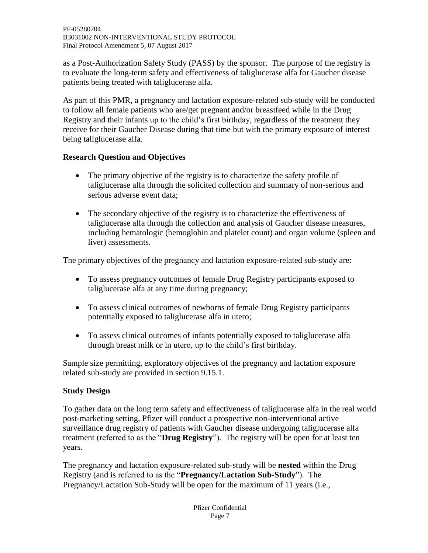as a Post-Authorization Safety Study (PASS) by the sponsor. The purpose of the registry is to evaluate the long-term safety and effectiveness of taliglucerase alfa for Gaucher disease patients being treated with taliglucerase alfa.

As part of this PMR, a pregnancy and lactation exposure-related sub-study will be conducted to follow all female patients who are/get pregnant and/or breastfeed while in the Drug Registry and their infants up to the child's first birthday, regardless of the treatment they receive for their Gaucher Disease during that time but with the primary exposure of interest being taliglucerase alfa.

#### **Research Question and Objectives**

- The primary objective of the registry is to characterize the safety profile of taliglucerase alfa through the solicited collection and summary of non-serious and serious adverse event data;
- The secondary objective of the registry is to characterize the effectiveness of taliglucerase alfa through the collection and analysis of Gaucher disease measures, including hematologic (hemoglobin and platelet count) and organ volume (spleen and liver) assessments.

The primary objectives of the pregnancy and lactation exposure-related sub-study are:

- To assess pregnancy outcomes of female Drug Registry participants exposed to taliglucerase alfa at any time during pregnancy;
- To assess clinical outcomes of newborns of female Drug Registry participants potentially exposed to taliglucerase alfa in utero;
- To assess clinical outcomes of infants potentially exposed to taliglucerase alfa through breast milk or in utero, up to the child's first birthday.

Sample size permitting, exploratory objectives of the pregnancy and lactation exposure related sub-study are provided in section 9.15.1.

#### **Study Design**

To gather data on the long term safety and effectiveness of taliglucerase alfa in the real world post-marketing setting, Pfizer will conduct a prospective non-interventional active surveillance drug registry of patients with Gaucher disease undergoing taliglucerase alfa treatment (referred to as the "**Drug Registry**"). The registry will be open for at least ten years.

The pregnancy and lactation exposure-related sub-study will be **nested** within the Drug Registry (and is referred to as the "**Pregnancy/Lactation Sub-Study**"). The Pregnancy/Lactation Sub-Study will be open for the maximum of 11 years (i.e.,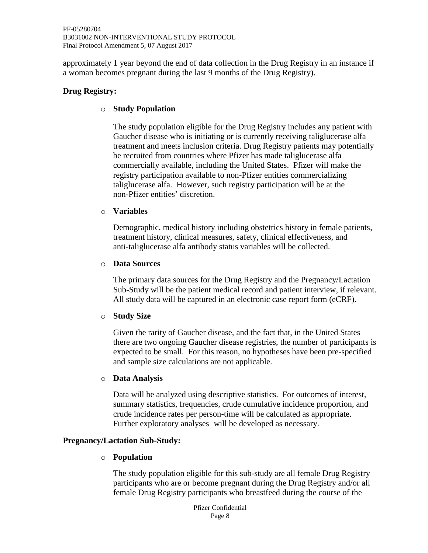approximately 1 year beyond the end of data collection in the Drug Registry in an instance if a woman becomes pregnant during the last 9 months of the Drug Registry).

#### **Drug Registry:**

#### o **Study Population**

The study population eligible for the Drug Registry includes any patient with Gaucher disease who is initiating or is currently receiving taliglucerase alfa treatment and meets inclusion criteria. Drug Registry patients may potentially be recruited from countries where Pfizer has made taliglucerase alfa commercially available, including the United States. Pfizer will make the registry participation available to non-Pfizer entities commercializing taliglucerase alfa. However, such registry participation will be at the non-Pfizer entities' discretion.

#### o **Variables**

Demographic, medical history including obstetrics history in female patients, treatment history, clinical measures, safety, clinical effectiveness, and anti-taliglucerase alfa antibody status variables will be collected.

#### o **Data Sources**

The primary data sources for the Drug Registry and the Pregnancy/Lactation Sub-Study will be the patient medical record and patient interview, if relevant. All study data will be captured in an electronic case report form (eCRF).

#### o **Study Size**

Given the rarity of Gaucher disease, and the fact that, in the United States there are two ongoing Gaucher disease registries, the number of participants is expected to be small. For this reason, no hypotheses have been pre-specified and sample size calculations are not applicable.

#### o **Data Analysis**

Data will be analyzed using descriptive statistics. For outcomes of interest, summary statistics, frequencies, crude cumulative incidence proportion, and crude incidence rates per person-time will be calculated as appropriate. Further exploratory analyses will be developed as necessary.

#### **Pregnancy/Lactation Sub-Study:**

#### o **Population**

The study population eligible for this sub-study are all female Drug Registry participants who are or become pregnant during the Drug Registry and/or all female Drug Registry participants who breastfeed during the course of the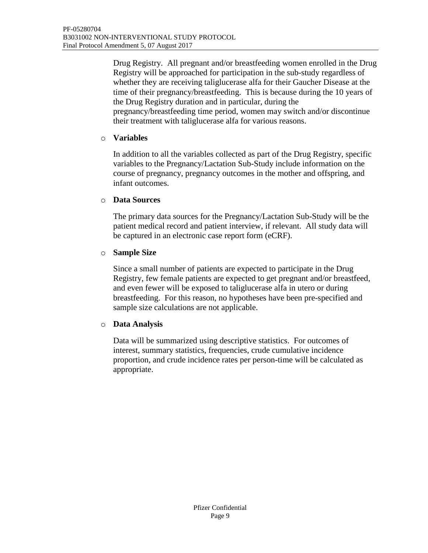Drug Registry. All pregnant and/or breastfeeding women enrolled in the Drug Registry will be approached for participation in the sub-study regardless of whether they are receiving taliglucerase alfa for their Gaucher Disease at the time of their pregnancy/breastfeeding. This is because during the 10 years of the Drug Registry duration and in particular, during the pregnancy/breastfeeding time period, women may switch and/or discontinue their treatment with taliglucerase alfa for various reasons.

#### o **Variables**

In addition to all the variables collected as part of the Drug Registry, specific variables to the Pregnancy/Lactation Sub-Study include information on the course of pregnancy, pregnancy outcomes in the mother and offspring, and infant outcomes.

#### o **Data Sources**

The primary data sources for the Pregnancy/Lactation Sub-Study will be the patient medical record and patient interview, if relevant. All study data will be captured in an electronic case report form (eCRF).

#### o **Sample Size**

Since a small number of patients are expected to participate in the Drug Registry, few female patients are expected to get pregnant and/or breastfeed, and even fewer will be exposed to taliglucerase alfa in utero or during breastfeeding. For this reason, no hypotheses have been pre-specified and sample size calculations are not applicable.

#### o **Data Analysis**

Data will be summarized using descriptive statistics. For outcomes of interest, summary statistics, frequencies, crude cumulative incidence proportion, and crude incidence rates per person-time will be calculated as appropriate.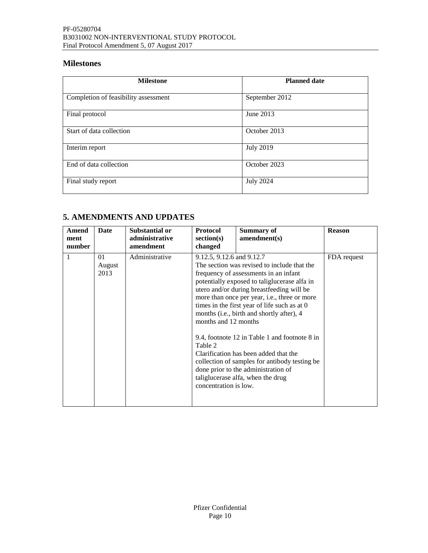# **Milestones**

| <b>Milestone</b>                     | <b>Planned date</b> |
|--------------------------------------|---------------------|
| Completion of feasibility assessment | September 2012      |
| Final protocol                       | June 2013           |
| Start of data collection             | October 2013        |
| Interim report                       | <b>July 2019</b>    |
| End of data collection               | October 2023        |
| Final study report                   | <b>July 2024</b>    |

# <span id="page-9-0"></span>**5. AMENDMENTS AND UPDATES**

| Amend<br>ment<br>number | Date                 | Substantial or<br>administrative<br>amendment | <b>Protocol</b><br>section(s)<br>changed                                              | <b>Summary of</b><br>amendment(s)                                                                                                                                                                                                                                                                                                                                                                                                                                                                                                                     | <b>Reason</b> |
|-------------------------|----------------------|-----------------------------------------------|---------------------------------------------------------------------------------------|-------------------------------------------------------------------------------------------------------------------------------------------------------------------------------------------------------------------------------------------------------------------------------------------------------------------------------------------------------------------------------------------------------------------------------------------------------------------------------------------------------------------------------------------------------|---------------|
| 1                       | 01<br>August<br>2013 | Administrative                                | 9.12.5, 9.12.6 and 9.12.7<br>months and 12 months<br>Table 2<br>concentration is low. | The section was revised to include that the<br>frequency of assessments in an infant<br>potentially exposed to taliglucerase alfa in<br>utero and/or during breastfeeding will be<br>more than once per year, i.e., three or more<br>times in the first year of life such as at 0<br>months (i.e., birth and shortly after), 4<br>9.4, footnote 12 in Table 1 and footnote 8 in<br>Clarification has been added that the<br>collection of samples for antibody testing be<br>done prior to the administration of<br>taliglucerase alfa, when the drug | FDA request   |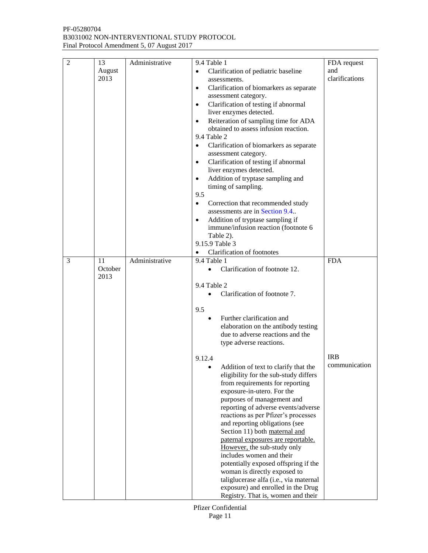| 2 | 13      | Administrative | 9.4 Table 1                                                     | FDA request    |
|---|---------|----------------|-----------------------------------------------------------------|----------------|
|   | August  |                | Clarification of pediatric baseline<br>$\bullet$                | and            |
|   | 2013    |                | assessments.                                                    | clarifications |
|   |         |                | Clarification of biomarkers as separate<br>$\bullet$            |                |
|   |         |                | assessment category.                                            |                |
|   |         |                | Clarification of testing if abnormal<br>$\bullet$               |                |
|   |         |                | liver enzymes detected.                                         |                |
|   |         |                | Reiteration of sampling time for ADA<br>$\bullet$               |                |
|   |         |                | obtained to assess infusion reaction.                           |                |
|   |         |                | 9.4 Table 2                                                     |                |
|   |         |                | Clarification of biomarkers as separate<br>$\bullet$            |                |
|   |         |                | assessment category.                                            |                |
|   |         |                | Clarification of testing if abnormal<br>$\bullet$               |                |
|   |         |                | liver enzymes detected.                                         |                |
|   |         |                | Addition of tryptase sampling and<br>$\bullet$                  |                |
|   |         |                | timing of sampling.                                             |                |
|   |         |                | 9.5                                                             |                |
|   |         |                | $\bullet$<br>Correction that recommended study                  |                |
|   |         |                | assessments are in Section 9.4.                                 |                |
|   |         |                | Addition of tryptase sampling if<br>$\bullet$                   |                |
|   |         |                | immune/infusion reaction (footnote 6                            |                |
|   |         |                | Table 2).                                                       |                |
|   |         |                | 9.15.9 Table 3                                                  |                |
|   |         |                | Clarification of footnotes                                      |                |
| 3 | 11      | Administrative | 9.4 Table 1                                                     | <b>FDA</b>     |
|   | October |                | Clarification of footnote 12.<br>$\bullet$                      |                |
|   | 2013    |                |                                                                 |                |
|   |         |                | 9.4 Table 2                                                     |                |
|   |         |                | Clarification of footnote 7.                                    |                |
|   |         |                |                                                                 |                |
|   |         |                | 9.5                                                             |                |
|   |         |                | Further clarification and<br>٠                                  |                |
|   |         |                | elaboration on the antibody testing                             |                |
|   |         |                | due to adverse reactions and the                                |                |
|   |         |                | type adverse reactions.                                         |                |
|   |         |                |                                                                 |                |
|   |         |                | 9.12.4                                                          | <b>IRB</b>     |
|   |         |                | Addition of text to clarify that the                            | communication  |
|   |         |                | eligibility for the sub-study differs                           |                |
|   |         |                | from requirements for reporting                                 |                |
|   |         |                | exposure-in-utero. For the                                      |                |
|   |         |                | purposes of management and                                      |                |
|   |         |                | reporting of adverse events/adverse                             |                |
|   |         |                | reactions as per Pfizer's processes                             |                |
|   |         |                | and reporting obligations (see<br>Section 11) both maternal and |                |
|   |         |                | paternal exposures are reportable.                              |                |
|   |         |                | However, the sub-study only                                     |                |
|   |         |                | includes women and their                                        |                |
|   |         |                | potentially exposed offspring if the                            |                |
|   |         |                | woman is directly exposed to                                    |                |
|   |         |                | taliglucerase alfa (i.e., via maternal                          |                |
|   |         |                | exposure) and enrolled in the Drug                              |                |
|   |         |                | Registry. That is, women and their                              |                |

Pfizer Confidential Page 11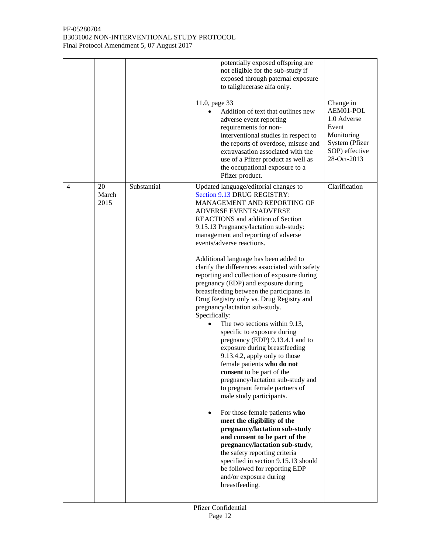|                |                     |             | potentially exposed offspring are<br>not eligible for the sub-study if<br>exposed through paternal exposure<br>to taliglucerase alfa only.<br>11.0, page 33<br>Addition of text that outlines new<br>adverse event reporting<br>requirements for non-<br>interventional studies in respect to<br>the reports of overdose, misuse and<br>extravasation associated with the<br>use of a Pfizer product as well as<br>the occupational exposure to a<br>Pfizer product.                                                                                                                                                                                                                                                                                                                                                                                                                                                                                                                                                                                                                                                                                                                                                                                                                           | Change in<br>AEM01-POL<br>1.0 Adverse<br>Event<br>Monitoring<br>System (Pfizer<br>SOP) effective<br>28-Oct-2013 |
|----------------|---------------------|-------------|------------------------------------------------------------------------------------------------------------------------------------------------------------------------------------------------------------------------------------------------------------------------------------------------------------------------------------------------------------------------------------------------------------------------------------------------------------------------------------------------------------------------------------------------------------------------------------------------------------------------------------------------------------------------------------------------------------------------------------------------------------------------------------------------------------------------------------------------------------------------------------------------------------------------------------------------------------------------------------------------------------------------------------------------------------------------------------------------------------------------------------------------------------------------------------------------------------------------------------------------------------------------------------------------|-----------------------------------------------------------------------------------------------------------------|
| $\overline{4}$ | 20<br>March<br>2015 | Substantial | Updated language/editorial changes to<br>Section 9.13 DRUG REGISTRY:<br>MANAGEMENT AND REPORTING OF<br><b>ADVERSE EVENTS/ADVERSE</b><br><b>REACTIONS</b> and addition of Section<br>9.15.13 Pregnancy/lactation sub-study:<br>management and reporting of adverse<br>events/adverse reactions.<br>Additional language has been added to<br>clarify the differences associated with safety<br>reporting and collection of exposure during<br>pregnancy (EDP) and exposure during<br>breastfeeding between the participants in<br>Drug Registry only vs. Drug Registry and<br>pregnancy/lactation sub-study.<br>Specifically:<br>The two sections within 9.13,<br>specific to exposure during<br>pregnancy (EDP) 9.13.4.1 and to<br>exposure during breastfeeding<br>9.13.4.2, apply only to those<br>female patients who do not<br><b>consent</b> to be part of the<br>pregnancy/lactation sub-study and<br>to pregnant female partners of<br>male study participants.<br>For those female patients who<br>meet the eligibility of the<br>pregnancy/lactation sub-study<br>and consent to be part of the<br>pregnancy/lactation sub-study,<br>the safety reporting criteria<br>specified in section 9.15.13 should<br>be followed for reporting EDP<br>and/or exposure during<br>breastfeeding. | Clarification                                                                                                   |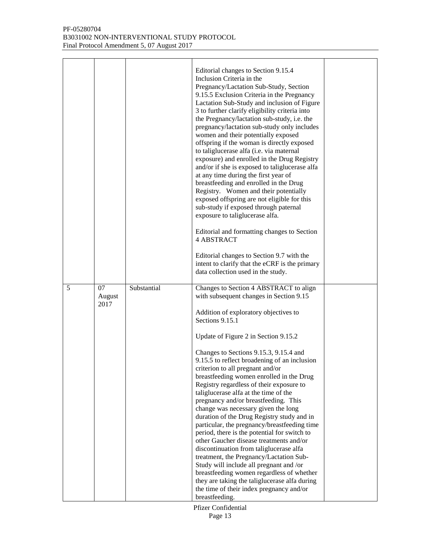#### PF-05280704 B3031002 NON-INTERVENTIONAL STUDY PROTOCOL Final Protocol Amendment 5, 07 August 2017

|   |                      |             | Editorial changes to Section 9.15.4<br>Inclusion Criteria in the<br>Pregnancy/Lactation Sub-Study, Section<br>9.15.5 Exclusion Criteria in the Pregnancy<br>Lactation Sub-Study and inclusion of Figure<br>3 to further clarify eligibility criteria into<br>the Pregnancy/lactation sub-study, i.e. the<br>pregnancy/lactation sub-study only includes<br>women and their potentially exposed<br>offspring if the woman is directly exposed<br>to taliglucerase alfa (i.e. via maternal<br>exposure) and enrolled in the Drug Registry<br>and/or if she is exposed to taliglucerase alfa<br>at any time during the first year of<br>breastfeeding and enrolled in the Drug<br>Registry. Women and their potentially<br>exposed offspring are not eligible for this<br>sub-study if exposed through paternal<br>exposure to taliglucerase alfa.<br>Editorial and formatting changes to Section<br><b>4 ABSTRACT</b><br>Editorial changes to Section 9.7 with the<br>intent to clarify that the eCRF is the primary<br>data collection used in the study. |  |
|---|----------------------|-------------|----------------------------------------------------------------------------------------------------------------------------------------------------------------------------------------------------------------------------------------------------------------------------------------------------------------------------------------------------------------------------------------------------------------------------------------------------------------------------------------------------------------------------------------------------------------------------------------------------------------------------------------------------------------------------------------------------------------------------------------------------------------------------------------------------------------------------------------------------------------------------------------------------------------------------------------------------------------------------------------------------------------------------------------------------------|--|
| 5 | 07<br>August<br>2017 | Substantial | Changes to Section 4 ABSTRACT to align<br>with subsequent changes in Section 9.15<br>Addition of exploratory objectives to<br>Sections 9.15.1<br>Update of Figure 2 in Section 9.15.2<br>Changes to Sections 9.15.3, 9.15.4 and<br>9.15.5 to reflect broadening of an inclusion<br>criterion to all pregnant and/or<br>breastfeeding women enrolled in the Drug<br>Registry regardless of their exposure to<br>taliglucerase alfa at the time of the<br>pregnancy and/or breastfeeding. This<br>change was necessary given the long<br>duration of the Drug Registry study and in<br>particular, the pregnancy/breastfeeding time<br>period, there is the potential for switch to<br>other Gaucher disease treatments and/or<br>discontinuation from taliglucerase alfa<br>treatment, the Pregnancy/Lactation Sub-<br>Study will include all pregnant and /or<br>breastfeeding women regardless of whether<br>they are taking the taliglucerase alfa during<br>the time of their index pregnancy and/or<br>breastfeeding.                                |  |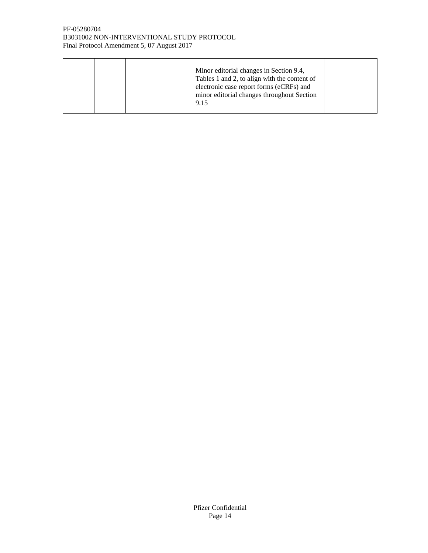#### PF-05280704 B3031002 NON-INTERVENTIONAL STUDY PROTOCOL Final Protocol Amendment 5, 07 August 2017

|  |  |  | Minor editorial changes in Section 9.4,<br>Tables 1 and 2, to align with the content of<br>electronic case report forms (eCRFs) and<br>minor editorial changes throughout Section<br>9.15 |  |
|--|--|--|-------------------------------------------------------------------------------------------------------------------------------------------------------------------------------------------|--|
|--|--|--|-------------------------------------------------------------------------------------------------------------------------------------------------------------------------------------------|--|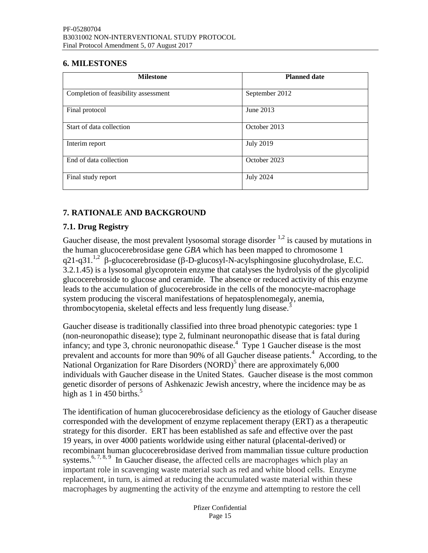### <span id="page-14-0"></span>**6. MILESTONES**

| <b>Milestone</b>                     | <b>Planned date</b> |
|--------------------------------------|---------------------|
| Completion of feasibility assessment | September 2012      |
| Final protocol                       | June 2013           |
| Start of data collection             | October 2013        |
| Interim report                       | <b>July 2019</b>    |
| End of data collection               | October 2023        |
| Final study report                   | <b>July 2024</b>    |

# <span id="page-14-1"></span>**7. RATIONALE AND BACKGROUND**

# <span id="page-14-2"></span>**7.1. Drug Registry**

Gaucher disease, the most prevalent lysosomal storage disorder  $1.2$  $1.2$  is caused by mutations in the human glucocerebrosidase gene *GBA* which has been mapped to chromosome 1 q2[1](#page-49-1)-q31.<sup>1[,2](#page-49-2)</sup>  $\beta$ -glucocerebrosidase ( $\beta$ -D-glucosyl-N-acylsphingosine glucohydrolase, E.C. 3.2.1.45) is a lysosomal glycoprotein enzyme that catalyses the hydrolysis of the glycolipid glucocerebroside to glucose and ceramide. The absence or reduced activity of this enzyme leads to the accumulation of glucocerebroside in the cells of the monocyte-macrophage system producing the visceral manifestations of hepatosplenomegaly, anemia, thrombocytopenia, skeletal effects and less frequently lung disease[.](#page-49-3)<sup>3</sup>

Gaucher disease is traditionally classified into three broad phenotypic categories: type 1 (non-neuronopathic disease); type 2, fulminant neuronopathic disease that is fatal during infancy; and type 3, chronic neuronopathic disease[.](#page-49-4) 4 Type 1 Gaucher disease is the most prevalent and accounts for more than 90% of all Gaucher disease patients.<sup>4</sup> According, to the National Organization for Rare Disorders  $(NORD)^5$  $(NORD)^5$  $(NORD)^5$  there are approximately 6,000 individuals with Gaucher disease in the United States. Gaucher disease is the most common genetic disorder of persons of Ashkenazic Jewish ancestry, where the incidence may be as high as 1 in 4[5](#page-49-5)0 births.<sup>5</sup>

The identification of human glucocerebrosidase deficiency as the etiology of Gaucher disease corresponded with the development of enzyme replacement therapy (ERT) as a therapeutic strategy for this disorder. ERT has been established as safe and effective over the past 19 years, in over 4000 patients worldwide using either natural (placental-derived) or recombinant human glucocerebrosidase derived from mammalian tissue culture production systems.<sup>[6,](#page-49-6) [7,](#page-49-7) [8,](#page-49-8) [9](#page-49-9)</sup> In Gaucher disease, the affected cells are macrophages which play an important role in scavenging waste material such as red and white blood cells. Enzyme replacement, in turn, is aimed at reducing the accumulated waste material within these macrophages by augmenting the activity of the enzyme and attempting to restore the cell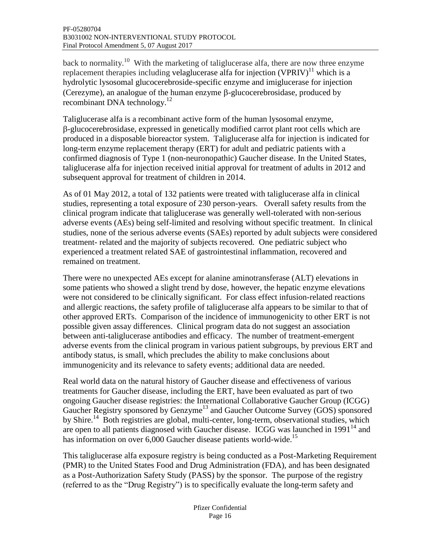back to normality.<sup>[10](#page-49-10)</sup> With the marketing of taliglucerase alfa, there are now three enzyme replacement therapies including velaglucerase alfa for injection  $(VPRIV)^{11}$  $(VPRIV)^{11}$  $(VPRIV)^{11}$  which is a hydrolytic lysosomal glucocerebroside-specific enzyme and imiglucerase for injection (Cerezyme), an analogue of the human enzyme  $\beta$ -glucocerebrosidase, produced by recombinant DNA technology.<sup>[12](#page-49-12)</sup>

Taliglucerase alfa is a recombinant active form of the human lysosomal enzyme, -glucocerebrosidase, expressed in genetically modified carrot plant root cells which are produced in a disposable bioreactor system. Taliglucerase alfa for injection is indicated for long-term enzyme replacement therapy (ERT) for adult and pediatric patients with a confirmed diagnosis of Type 1 (non-neuronopathic) Gaucher disease. In the United States, taliglucerase alfa for injection received initial approval for treatment of adults in 2012 and subsequent approval for treatment of children in 2014.

As of 01 May 2012, a total of 132 patients were treated with taliglucerase alfa in clinical studies, representing a total exposure of 230 person-years. Overall safety results from the clinical program indicate that taliglucerase was generally well-tolerated with non-serious adverse events (AEs) being self-limited and resolving without specific treatment. In clinical studies, none of the serious adverse events (SAEs) reported by adult subjects were considered treatment- related and the majority of subjects recovered. One pediatric subject who experienced a treatment related SAE of gastrointestinal inflammation, recovered and remained on treatment.

There were no unexpected AEs except for alanine aminotransferase (ALT) elevations in some patients who showed a slight trend by dose, however, the hepatic enzyme elevations were not considered to be clinically significant. For class effect infusion-related reactions and allergic reactions, the safety profile of taliglucerase alfa appears to be similar to that of other approved ERTs. Comparison of the incidence of immunogenicity to other ERT is not possible given assay differences. Clinical program data do not suggest an association between anti-taliglucerase antibodies and efficacy. The number of treatment-emergent adverse events from the clinical program in various patient subgroups, by previous ERT and antibody status, is small, which precludes the ability to make conclusions about immunogenicity and its relevance to safety events; additional data are needed.

Real world data on the natural history of Gaucher disease and effectiveness of various treatments for Gaucher disease, including the ERT, have been evaluated as part of two ongoing Gaucher disease registries: the International Collaborative Gaucher Group (ICGG) Gaucher Registry sponsored by Genzyme<sup>[13](#page-49-13)</sup> and Gaucher Outcome Survey (GOS) sponsored by Shire.<sup>[14](#page-49-14)</sup> Both registries are global, multi-center, long-term, observational studies, which are open to all patients diagnosed with Gaucher disease. ICGG was launched in  $1991<sup>14</sup>$  $1991<sup>14</sup>$  $1991<sup>14</sup>$  and has information on over 6,000 Gaucher disease patients world-wide.<sup>[15](#page-50-0)</sup>

This taliglucerase alfa exposure registry is being conducted as a Post-Marketing Requirement (PMR) to the United States Food and Drug Administration (FDA), and has been designated as a Post-Authorization Safety Study (PASS) by the sponsor. The purpose of the registry (referred to as the "Drug Registry") is to specifically evaluate the long-term safety and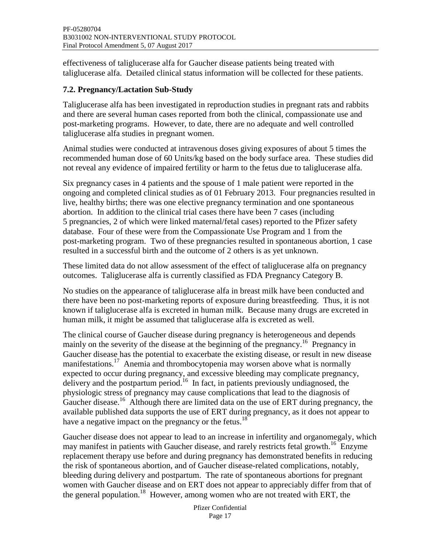effectiveness of taliglucerase alfa for Gaucher disease patients being treated with taliglucerase alfa. Detailed clinical status information will be collected for these patients.

# <span id="page-16-0"></span>**7.2. Pregnancy/Lactation Sub-Study**

Taliglucerase alfa has been investigated in reproduction studies in pregnant rats and rabbits and there are several human cases reported from both the clinical, compassionate use and post-marketing programs. However, to date, there are no adequate and well controlled taliglucerase alfa studies in pregnant women.

Animal studies were conducted at intravenous doses giving exposures of about 5 times the recommended human dose of 60 Units/kg based on the body surface area. These studies did not reveal any evidence of impaired fertility or harm to the fetus due to taliglucerase alfa.

Six pregnancy cases in 4 patients and the spouse of 1 male patient were reported in the ongoing and completed clinical studies as of 01 February 2013. Four pregnancies resulted in live, healthy births; there was one elective pregnancy termination and one spontaneous abortion. In addition to the clinical trial cases there have been 7 cases (including 5 pregnancies, 2 of which were linked maternal/fetal cases) reported to the Pfizer safety database. Four of these were from the Compassionate Use Program and 1 from the post-marketing program. Two of these pregnancies resulted in spontaneous abortion, 1 case resulted in a successful birth and the outcome of 2 others is as yet unknown.

These limited data do not allow assessment of the effect of taliglucerase alfa on pregnancy outcomes. Taliglucerase alfa is currently classified as FDA Pregnancy Category B.

No studies on the appearance of taliglucerase alfa in breast milk have been conducted and there have been no post-marketing reports of exposure during breastfeeding. Thus, it is not known if taliglucerase alfa is excreted in human milk. Because many drugs are excreted in human milk, it might be assumed that taliglucerase alfa is excreted as well.

The clinical course of Gaucher disease during pregnancy is heterogeneous and depends mainly on the severity of the disease at the beginning of the pregnancy.<sup>[16](#page-50-1)</sup> Pregnancy in Gaucher disease has the potential to exacerbate the existing disease, or result in new disease manifestations.<sup>[17](#page-50-2)</sup> Anemia and thrombocytopenia may worsen above what is normally expected to occur during pregnancy, and excessive bleeding may complicate pregnancy, delivery and the postpartum period.<sup>[16](#page-50-1)</sup> In fact, in patients previously undiagnosed, the physiologic stress of pregnancy may cause complications that lead to the diagnosis of Gaucher disease.<sup>[16](#page-50-1)</sup> Although there are limited data on the use of ERT during pregnancy, the available published data supports the use of ERT during pregnancy, as it does not appear to have a negative impact on the pregnancy or the fetus.<sup>[18](#page-50-3)</sup>

Gaucher disease does not appear to lead to an increase in infertility and organomegaly, which may manifest in patients with Gaucher disease, and rarely restricts fetal growth.<sup>[16](#page-50-1)</sup> Enzyme replacement therapy use before and during pregnancy has demonstrated benefits in reducing the risk of spontaneous abortion, and of Gaucher disease-related complications, notably, bleeding during delivery and postpartum. The rate of spontaneous abortions for pregnant women with Gaucher disease and on ERT does not appear to appreciably differ from that of the general population.<sup>[18](#page-50-3)</sup> However, among women who are not treated with ERT, the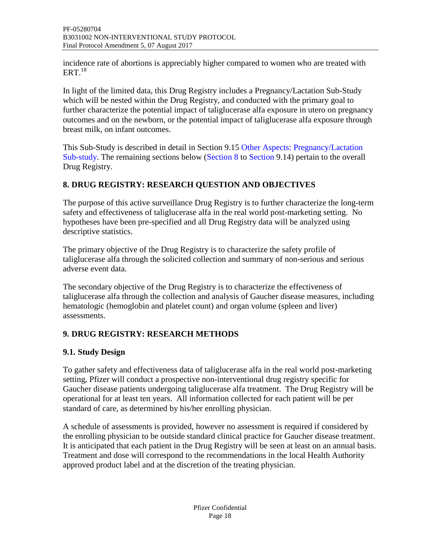incidence rate of abortions is appreciably higher compared to women who are treated with  $\mathrm{ERT.}^{18}$  $\mathrm{ERT.}^{18}$  $\mathrm{ERT.}^{18}$ 

In light of the limited data, this Drug Registry includes a Pregnancy/Lactation Sub-Study which will be nested within the Drug Registry, and conducted with the primary goal to further characterize the potential impact of taliglucerase alfa exposure in utero on pregnancy outcomes and on the newborn, or the potential impact of taliglucerase alfa exposure through breast milk, on infant outcomes.

This Sub-Study is described in detail in Section 9.15 [Other Aspects: Pregnancy/Lactation](#page-36-4)  [Sub-study.](#page-36-4) The remaining sections below [\(Section 8](#page-17-0) to [Section 9.14\)](#page-36-3) pertain to the overall Drug Registry.

# <span id="page-17-0"></span>**8. DRUG REGISTRY: RESEARCH QUESTION AND OBJECTIVES**

The purpose of this active surveillance Drug Registry is to further characterize the long-term safety and effectiveness of taliglucerase alfa in the real world post-marketing setting. No hypotheses have been pre-specified and all Drug Registry data will be analyzed using descriptive statistics.

The primary objective of the Drug Registry is to characterize the safety profile of taliglucerase alfa through the solicited collection and summary of non-serious and serious adverse event data.

The secondary objective of the Drug Registry is to characterize the effectiveness of taliglucerase alfa through the collection and analysis of Gaucher disease measures, including hematologic (hemoglobin and platelet count) and organ volume (spleen and liver) assessments.

# <span id="page-17-1"></span>**9. DRUG REGISTRY: RESEARCH METHODS**

# <span id="page-17-2"></span>**9.1. Study Design**

To gather safety and effectiveness data of taliglucerase alfa in the real world post-marketing setting, Pfizer will conduct a prospective non-interventional drug registry specific for Gaucher disease patients undergoing taliglucerase alfa treatment. The Drug Registry will be operational for at least ten years. All information collected for each patient will be per standard of care, as determined by his/her enrolling physician.

A schedule of assessments is provided, however no assessment is required if considered by the enrolling physician to be outside standard clinical practice for Gaucher disease treatment. It is anticipated that each patient in the Drug Registry will be seen at least on an annual basis. Treatment and dose will correspond to the recommendations in the local Health Authority approved product label and at the discretion of the treating physician.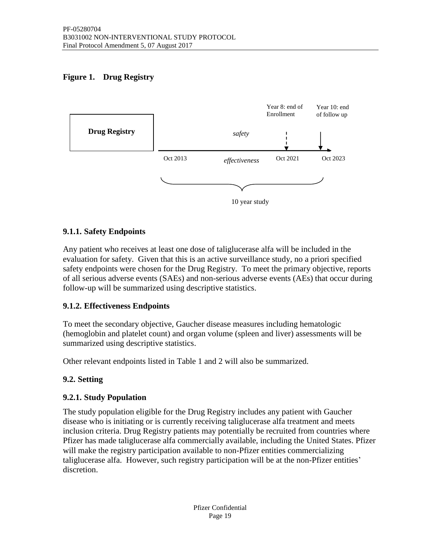# <span id="page-18-5"></span><span id="page-18-4"></span>**Figure 1. Drug Registry**



## <span id="page-18-0"></span>**9.1.1. Safety Endpoints**

Any patient who receives at least one dose of taliglucerase alfa will be included in the evaluation for safety. Given that this is an active surveillance study, no a priori specified safety endpoints were chosen for the Drug Registry. To meet the primary objective, reports of all serious adverse events (SAEs) and non-serious adverse events (AEs) that occur during follow-up will be summarized using descriptive statistics.

#### <span id="page-18-1"></span>**9.1.2. Effectiveness Endpoints**

To meet the secondary objective, Gaucher disease measures including hematologic (hemoglobin and platelet count) and organ volume (spleen and liver) assessments will be summarized using descriptive statistics.

Other relevant endpoints listed in Table 1 and 2 will also be summarized.

# <span id="page-18-2"></span>**9.2. Setting**

#### <span id="page-18-3"></span>**9.2.1. Study Population**

The study population eligible for the Drug Registry includes any patient with Gaucher disease who is initiating or is currently receiving taliglucerase alfa treatment and meets inclusion criteria. Drug Registry patients may potentially be recruited from countries where Pfizer has made taliglucerase alfa commercially available, including the United States. Pfizer will make the registry participation available to non-Pfizer entities commercializing taliglucerase alfa. However, such registry participation will be at the non-Pfizer entities' discretion.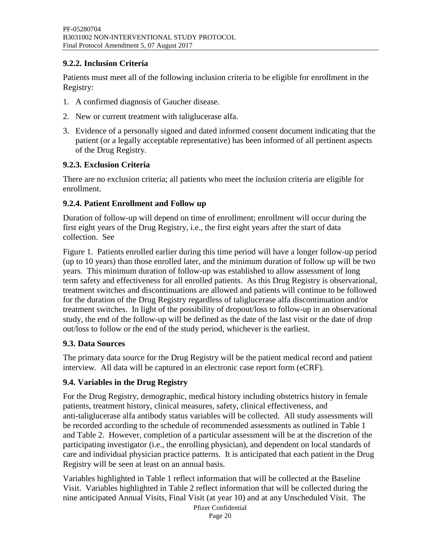## <span id="page-19-0"></span>**9.2.2. Inclusion Criteria**

Patients must meet all of the following inclusion criteria to be eligible for enrollment in the Registry:

- 1. A confirmed diagnosis of Gaucher disease.
- 2. New or current treatment with taliglucerase alfa.
- 3. Evidence of a personally signed and dated informed consent document indicating that the patient (or a legally acceptable representative) has been informed of all pertinent aspects of the Drug Registry.

## <span id="page-19-1"></span>**9.2.3. Exclusion Criteria**

There are no exclusion criteria; all patients who meet the inclusion criteria are eligible for enrollment.

## <span id="page-19-2"></span>**9.2.4. Patient Enrollment and Follow up**

Duration of follow-up will depend on time of enrollment; enrollment will occur during the first eight years of the Drug Registry, i.e., the first eight years after the start of data collection. See

[Figure](#page-18-5) 1. Patients enrolled earlier during this time period will have a longer follow-up period (up to 10 years) than those enrolled later, and the minimum duration of follow up will be two years. This minimum duration of follow-up was established to allow assessment of long term safety and effectiveness for all enrolled patients. As this Drug Registry is observational, treatment switches and discontinuations are allowed and patients will continue to be followed for the duration of the Drug Registry regardless of taliglucerase alfa discontinuation and/or treatment switches. In light of the possibility of dropout/loss to follow-up in an observational study, the end of the follow-up will be defined as the date of the last visit or the date of drop out/loss to follow or the end of the study period, whichever is the earliest.

#### <span id="page-19-3"></span>**9.3. Data Sources**

The primary data source for the Drug Registry will be the patient medical record and patient interview. All data will be captured in an electronic case report form (eCRF).

# <span id="page-19-4"></span>**9.4. Variables in the Drug Registry**

For the Drug Registry, demographic, medical history including obstetrics history in female patients, treatment history, clinical measures, safety, clinical effectiveness, and anti-taliglucerase alfa antibody status variables will be collected. All study assessments will be recorded according to the schedule of recommended assessments as outlined in [Table](#page-21-0) 1 and [Table](#page-23-0) 2. However, completion of a particular assessment will be at the discretion of the participating investigator (i.e., the enrolling physician), and dependent on local standards of care and individual physician practice patterns. It is anticipated that each patient in the Drug Registry will be seen at least on an annual basis.

Variables highlighted in [Table](#page-21-0) 1 reflect information that will be collected at the Baseline Visit. Variables highlighted in [Table](#page-23-0) 2 reflect information that will be collected during the nine anticipated Annual Visits, Final Visit (at year 10) and at any Unscheduled Visit. The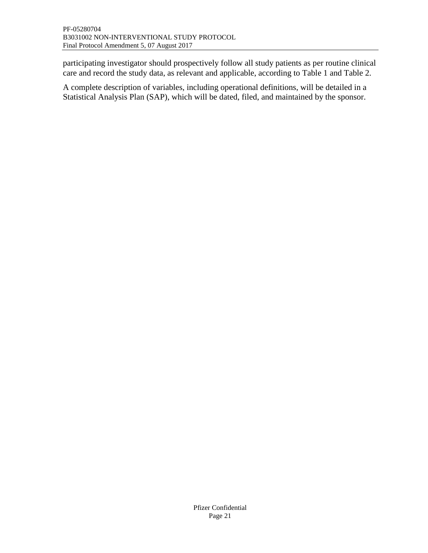participating investigator should prospectively follow all study patients as per routine clinical care and record the study data, as relevant and applicable, according to [Table](#page-21-0) 1 and [Table](#page-23-0) 2.

A complete description of variables, including operational definitions, will be detailed in a Statistical Analysis Plan (SAP), which will be dated, filed, and maintained by the sponsor.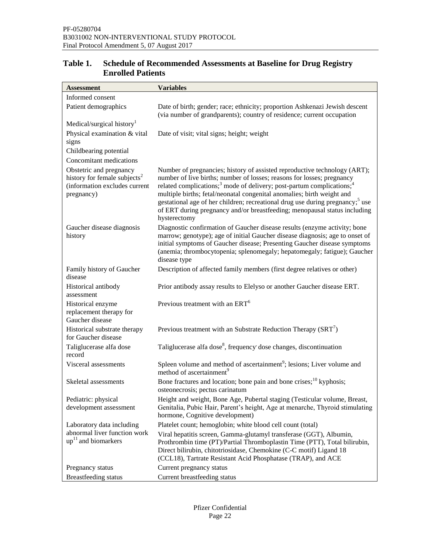| <b>Assessment</b>                                                                                                  | <b>Variables</b>                                                                                                                                                                                                                                                                                                                                                                                                                                                                                            |  |  |
|--------------------------------------------------------------------------------------------------------------------|-------------------------------------------------------------------------------------------------------------------------------------------------------------------------------------------------------------------------------------------------------------------------------------------------------------------------------------------------------------------------------------------------------------------------------------------------------------------------------------------------------------|--|--|
| Informed consent                                                                                                   |                                                                                                                                                                                                                                                                                                                                                                                                                                                                                                             |  |  |
| Patient demographics                                                                                               | Date of birth; gender; race; ethnicity; proportion Ashkenazi Jewish descent<br>(via number of grandparents); country of residence; current occupation                                                                                                                                                                                                                                                                                                                                                       |  |  |
| Medical/surgical history <sup>1</sup>                                                                              |                                                                                                                                                                                                                                                                                                                                                                                                                                                                                                             |  |  |
| Physical examination & vital<br>signs                                                                              | Date of visit; vital signs; height; weight                                                                                                                                                                                                                                                                                                                                                                                                                                                                  |  |  |
| Childbearing potential                                                                                             |                                                                                                                                                                                                                                                                                                                                                                                                                                                                                                             |  |  |
| Concomitant medications                                                                                            |                                                                                                                                                                                                                                                                                                                                                                                                                                                                                                             |  |  |
| Obstetric and pregnancy<br>history for female subjects <sup>2</sup><br>(information excludes current<br>pregnancy) | Number of pregnancies; history of assisted reproductive technology (ART);<br>number of live births; number of losses; reasons for losses; pregnancy<br>related complications; <sup>3</sup> mode of delivery; post-partum complications; <sup>4</sup><br>multiple births; fetal/neonatal congenital anomalies; birth weight and<br>gestational age of her children; recreational drug use during pregnancy; use<br>of ERT during pregnancy and/or breastfeeding; menopausal status including<br>hysterectomy |  |  |
| Gaucher disease diagnosis<br>history                                                                               | Diagnostic confirmation of Gaucher disease results (enzyme activity; bone<br>marrow; genotype); age of initial Gaucher disease diagnosis; age to onset of<br>initial symptoms of Gaucher disease; Presenting Gaucher disease symptoms<br>(anemia; thrombocytopenia; splenomegaly; hepatomegaly; fatigue); Gaucher<br>disease type                                                                                                                                                                           |  |  |
| Family history of Gaucher<br>disease                                                                               | Description of affected family members (first degree relatives or other)                                                                                                                                                                                                                                                                                                                                                                                                                                    |  |  |
| Historical antibody<br>assessment                                                                                  | Prior antibody assay results to Elelyso or another Gaucher disease ERT.                                                                                                                                                                                                                                                                                                                                                                                                                                     |  |  |
| Historical enzyme<br>replacement therapy for<br>Gaucher disease                                                    | Previous treatment with an ERT <sup>6</sup>                                                                                                                                                                                                                                                                                                                                                                                                                                                                 |  |  |
| Historical substrate therapy<br>for Gaucher disease                                                                | Previous treatment with an Substrate Reduction Therapy $(SRT^7)$                                                                                                                                                                                                                                                                                                                                                                                                                                            |  |  |
| Taliglucerase alfa dose<br>record                                                                                  | Taliglucerase alfa dose <sup>8</sup> , frequency dose changes, discontinuation                                                                                                                                                                                                                                                                                                                                                                                                                              |  |  |
| Visceral assessments                                                                                               | Spleen volume and method of ascertainment <sup>9</sup> ; lesions; Liver volume and<br>method of ascertainment <sup>9</sup>                                                                                                                                                                                                                                                                                                                                                                                  |  |  |
| Skeletal assessments                                                                                               | Bone fractures and location; bone pain and bone crises; <sup>10</sup> kyphosis;<br>osteonecrosis; pectus carinatum                                                                                                                                                                                                                                                                                                                                                                                          |  |  |
| Pediatric: physical<br>development assessment                                                                      | Height and weight, Bone Age, Pubertal staging (Testicular volume, Breast,<br>Genitalia, Pubic Hair, Parent's height, Age at menarche, Thyroid stimulating<br>hormone, Cognitive development)                                                                                                                                                                                                                                                                                                                |  |  |
| Laboratory data including                                                                                          | Platelet count; hemoglobin; white blood cell count (total)                                                                                                                                                                                                                                                                                                                                                                                                                                                  |  |  |
| abnormal liver function work<br>$up11$ and biomarkers                                                              | Viral hepatitis screen, Gamma-glutamyl transferase (GGT), Albumin,<br>Prothrombin time (PT)/Partial Thromboplastin Time (PTT), Total bilirubin,<br>Direct bilirubin, chitotriosidase, Chemokine (C-C motif) Ligand 18<br>(CCL18), Tartrate Resistant Acid Phosphatase (TRAP), and ACE                                                                                                                                                                                                                       |  |  |
| Pregnancy status                                                                                                   | Current pregnancy status                                                                                                                                                                                                                                                                                                                                                                                                                                                                                    |  |  |
| Breastfeeding status                                                                                               | Current breastfeeding status                                                                                                                                                                                                                                                                                                                                                                                                                                                                                |  |  |

# <span id="page-21-0"></span>**Table 1. Schedule of Recommended Assessments at Baseline for Drug Registry Enrolled Patients**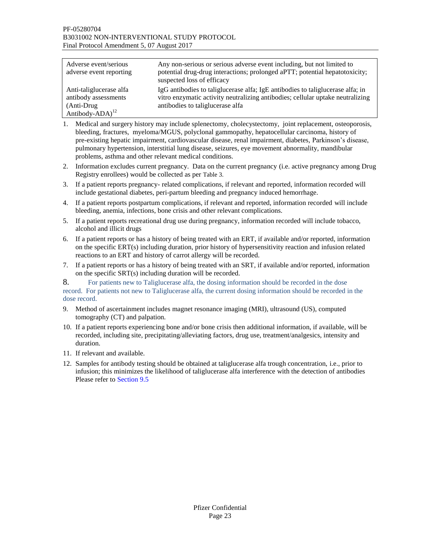| Adverse event/serious<br>adverse event reporting                                              | Any non-serious or serious adverse event including, but not limited to<br>potential drug-drug interactions; prolonged aPTT; potential hepatotoxicity;<br>suspected loss of efficacy                     |
|-----------------------------------------------------------------------------------------------|---------------------------------------------------------------------------------------------------------------------------------------------------------------------------------------------------------|
| Anti-taliglucerase alfa<br>antibody assessments<br>(Anti-Drug)<br>Antibody-ADA) <sup>12</sup> | IgG antibodies to taligluce rase alfa; IgE antibodies to taligluce rase alfa; in<br>vitro enzymatic activity neutralizing antibodies; cellular uptake neutralizing<br>antibodies to taligluce rase alfa |

- 1. Medical and surgery history may include splenectomy, cholecystectomy, joint replacement, osteoporosis, bleeding, fractures, myeloma/MGUS, polyclonal gammopathy, hepatocellular carcinoma, history of pre-existing hepatic impairment, cardiovascular disease, renal impairment, diabetes, Parkinson's disease, pulmonary hypertension, interstitial lung disease, seizures, eye movement abnormality, mandibular problems, asthma and other relevant medical conditions.
- 2. Information excludes current pregnancy. Data on the current pregnancy (i.e. active pregnancy among Drug Registry enrollees) would be collected as per [Table](#page-43-0) 3.
- 3. If a patient reports pregnancy- related complications, if relevant and reported, information recorded will include gestational diabetes, peri-partum bleeding and pregnancy induced hemorrhage.
- 4. If a patient reports postpartum complications, if relevant and reported, information recorded will include bleeding, anemia, infections, bone crisis and other relevant complications.
- 5. If a patient reports recreational drug use during pregnancy, information recorded will include tobacco, alcohol and illicit drugs
- 6. If a patient reports or has a history of being treated with an ERT, if available and/or reported, information on the specific ERT(s) including duration, prior history of hypersensitivity reaction and infusion related reactions to an ERT and history of carrot allergy will be recorded.
- 7. If a patient reports or has a history of being treated with an SRT, if available and/or reported, information on the specific SRT(s) including duration will be recorded.

8. For patients new to Taliglucerase alfa, the dosing information should be recorded in the dose record. For patients not new to Taliglucerase alfa, the current dosing information should be recorded in the dose record.

- 9. Method of ascertainment includes magnet resonance imaging (MRI), ultrasound (US), computed tomography (CT) and palpation.
- 10. If a patient reports experiencing bone and/or bone crisis then additional information, if available, will be recorded, including site, precipitating/alleviating factors, drug use, treatment/analgesics, intensity and duration.
- 11. If relevant and available.
- 12. Samples for antibody testing should be obtained at taliglucerase alfa trough concentration, i.e., prior to infusion; this minimizes the likelihood of taliglucerase alfa interference with the detection of antibodies Please refer t[o Section 9.5](#page-25-0)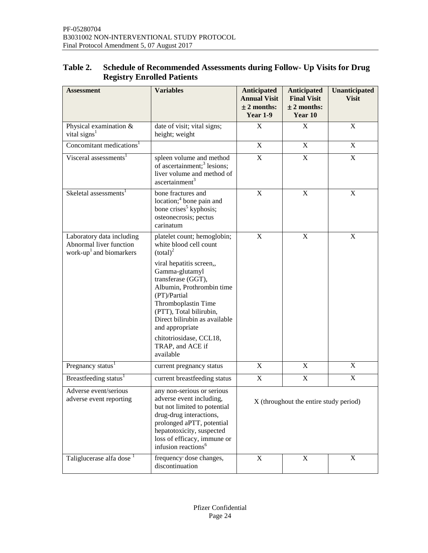<span id="page-23-0"></span>

| <b>Table 2.</b> | <b>Schedule of Recommended Assessments during Follow- Up Visits for Drug</b> |
|-----------------|------------------------------------------------------------------------------|
|                 | <b>Registry Enrolled Patients</b>                                            |

| <b>Assessment</b>                                                                                                                                                           | <b>Variables</b>                                                                                                                                                                                                                              | <b>Anticipated</b><br><b>Annual Visit</b><br>$± 2$ months:<br><b>Year 1-9</b> | <b>Anticipated</b><br><b>Final Visit</b><br>$± 2$ months:<br>Year 10 | Unanticipated<br><b>Visit</b> |
|-----------------------------------------------------------------------------------------------------------------------------------------------------------------------------|-----------------------------------------------------------------------------------------------------------------------------------------------------------------------------------------------------------------------------------------------|-------------------------------------------------------------------------------|----------------------------------------------------------------------|-------------------------------|
| Physical examination &<br>vital signs <sup>1</sup>                                                                                                                          | date of visit; vital signs;<br>height; weight                                                                                                                                                                                                 | $\mathbf X$                                                                   | $\mathbf X$                                                          | $\mathbf X$                   |
| Concomitant medications <sup>1</sup>                                                                                                                                        |                                                                                                                                                                                                                                               | $\mathbf X$                                                                   | $\mathbf X$                                                          | $\mathbf X$                   |
| Visceral assessments <sup>1</sup>                                                                                                                                           | spleen volume and method<br>of ascertainment; <sup>3</sup> lesions;<br>liver volume and method of<br>ascertainment <sup>3</sup>                                                                                                               | $\mathbf X$                                                                   | $\mathbf X$                                                          | $\mathbf X$                   |
| bone fractures and<br>Skeletal assessments <sup>1</sup><br>location; <sup>4</sup> bone pain and<br>bone crises <sup>5</sup> kyphosis;<br>osteonecrosis; pectus<br>carinatum |                                                                                                                                                                                                                                               | $\mathbf X$                                                                   | $\mathbf X$                                                          | $\mathbf X$                   |
| Laboratory data including<br>Abnormal liver function<br>work-up <sup>1</sup> and biomarkers                                                                                 | platelet count; hemoglobin;<br>white blood cell count<br>$(total)^2$                                                                                                                                                                          | $\boldsymbol{\mathrm{X}}$                                                     | $\mathbf X$                                                          | $\mathbf X$                   |
|                                                                                                                                                                             | viral hepatitis screen,,<br>Gamma-glutamyl<br>transferase (GGT),<br>Albumin, Prothrombin time<br>(PT)/Partial<br>Thromboplastin Time<br>(PTT), Total bilirubin,<br>Direct bilirubin as available<br>and appropriate                           |                                                                               |                                                                      |                               |
|                                                                                                                                                                             | chitotriosidase, CCL18,<br>TRAP, and ACE if<br>available                                                                                                                                                                                      |                                                                               |                                                                      |                               |
| Pregnancy status <sup>1</sup>                                                                                                                                               | current pregnancy status                                                                                                                                                                                                                      | $\boldsymbol{\mathrm{X}}$                                                     | $\mathbf X$                                                          | $\mathbf X$                   |
| Breastfeeding status <sup>1</sup>                                                                                                                                           | current breastfeeding status                                                                                                                                                                                                                  | $\mathbf X$                                                                   | $\mathbf X$                                                          | $\mathbf X$                   |
| Adverse event/serious<br>adverse event reporting                                                                                                                            | any non-serious or serious<br>adverse event including,<br>but not limited to potential<br>drug-drug interactions,<br>prolonged aPTT, potential<br>hepatotoxicity, suspected<br>loss of efficacy, immune or<br>infusion reactions <sup>6</sup> |                                                                               | X (throughout the entire study period)                               |                               |
| Taliglucerase alfa dose <sup>1</sup>                                                                                                                                        | frequency dose changes,<br>discontinuation                                                                                                                                                                                                    | X                                                                             | X                                                                    | X                             |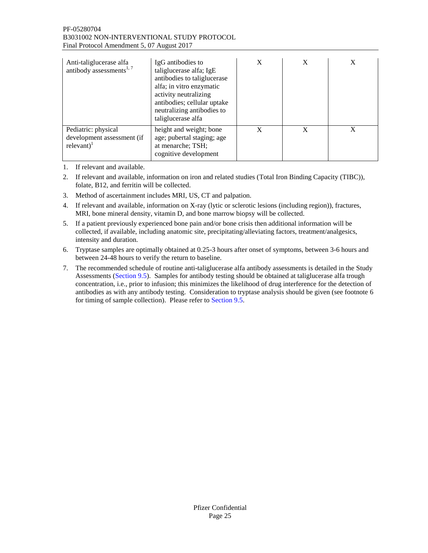#### PF-05280704 B3031002 NON-INTERVENTIONAL STUDY PROTOCOL Final Protocol Amendment 5, 07 August 2017

| Anti-taliglucerase alfa<br>IgG antibodies to<br>antibody assessments <sup>1, 7</sup><br>taliglucerase alfa; IgE<br>antibodies to taliglucerase<br>alfa; in vitro enzymatic<br>activity neutralizing<br>antibodies; cellular uptake<br>neutralizing antibodies to<br>taliglucerase alfa |                                                                                                     | X | X | X |
|----------------------------------------------------------------------------------------------------------------------------------------------------------------------------------------------------------------------------------------------------------------------------------------|-----------------------------------------------------------------------------------------------------|---|---|---|
| Pediatric: physical<br>development assessment (if<br>$relevant)$ <sup>1</sup>                                                                                                                                                                                                          | height and weight; bone<br>age; pubertal staging; age<br>at menarche; TSH;<br>cognitive development | X | X | X |

1. If relevant and available.

- 2. If relevant and available, information on iron and related studies (Total Iron Binding Capacity (TIBC)), folate, B12, and ferritin will be collected.
- 3. Method of ascertainment includes MRI, US, CT and palpation.
- 4. If relevant and available, information on X-ray (lytic or sclerotic lesions (including region)), fractures, MRI, bone mineral density, vitamin D, and bone marrow biopsy will be collected.
- 5. If a patient previously experienced bone pain and/or bone crisis then additional information will be collected, if available, including anatomic site, precipitating/alleviating factors, treatment/analgesics, intensity and duration.
- 6. Tryptase samples are optimally obtained at 0.25-3 hours after onset of symptoms, between 3-6 hours and between 24-48 hours to verify the return to baseline.
- 7. The recommended schedule of routine anti-taliglucerase alfa antibody assessments is detailed in the [Study](#page-25-0)  [Assessments](#page-25-0) [\(Section 9.5\)](#page-25-0). Samples for antibody testing should be obtained at taliglucerase alfa trough concentration, i.e., prior to infusion; this minimizes the likelihood of drug interference for the detection of antibodies as with any antibody testing. Consideration to tryptase analysis should be given (see footnote 6 for timing of sample collection). Please refer to [Section 9.5.](#page-25-0)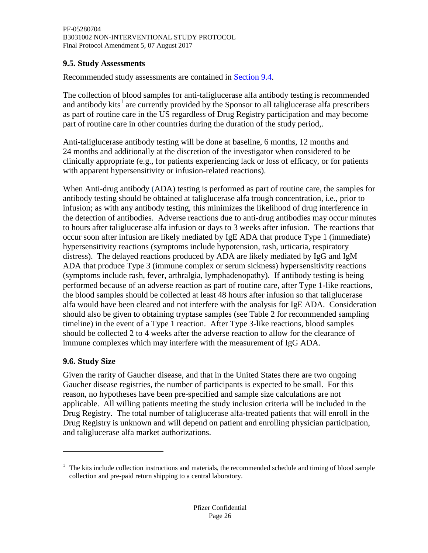## <span id="page-25-0"></span>**9.5. Study Assessments**

Recommended study assessments are contained in [Section 9.4.](#page-19-4)

The collection of blood samples for anti-taliglucerase alfa antibody testing is recommended and antibody kits<sup>1</sup> are currently provided by the Sponsor to all taliglucerase alfa prescribers as part of routine care in the US regardless of Drug Registry participation and may become part of routine care in other countries during the duration of the study period,.

Anti-taliglucerase antibody testing will be done at baseline, 6 months, 12 months and 24 months and additionally at the discretion of the investigator when considered to be clinically appropriate (e.g., for patients experiencing lack or loss of efficacy, or for patients with apparent hypersensitivity or infusion-related reactions).

When Anti-drug antibody (ADA) testing is performed as part of routine care, the samples for antibody testing should be obtained at taliglucerase alfa trough concentration, i.e., prior to infusion; as with any antibody testing, this minimizes the likelihood of drug interference in the detection of antibodies. Adverse reactions due to anti-drug antibodies may occur minutes to hours after taliglucerase alfa infusion or days to 3 weeks after infusion. The reactions that occur soon after infusion are likely mediated by IgE ADA that produce Type 1 (immediate) hypersensitivity reactions (symptoms include hypotension, rash, urticaria, respiratory distress). The delayed reactions produced by ADA are likely mediated by IgG and IgM ADA that produce Type 3 (immune complex or serum sickness) hypersensitivity reactions (symptoms include rash, fever, arthralgia, lymphadenopathy). If antibody testing is being performed because of an adverse reaction as part of routine care, after Type 1-like reactions, the blood samples should be collected at least 48 hours after infusion so that taliglucerase alfa would have been cleared and not interfere with the analysis for IgE ADA. Consideration should also be given to obtaining tryptase samples (see [Table](#page-23-0) 2 for recommended sampling timeline) in the event of a Type 1 reaction. After Type 3-like reactions, blood samples should be collected 2 to 4 weeks after the adverse reaction to allow for the clearance of immune complexes which may interfere with the measurement of IgG ADA.

# <span id="page-25-1"></span>**9.6. Study Size**

 $\overline{a}$ 

Given the rarity of Gaucher disease, and that in the United States there are two ongoing Gaucher disease registries, the number of participants is expected to be small. For this reason, no hypotheses have been pre-specified and sample size calculations are not applicable. All willing patients meeting the study inclusion criteria will be included in the Drug Registry. The total number of taliglucerase alfa-treated patients that will enroll in the Drug Registry is unknown and will depend on patient and enrolling physician participation, and taliglucerase alfa market authorizations.

 $1$  The kits include collection instructions and materials, the recommended schedule and timing of blood sample collection and pre-paid return shipping to a central laboratory.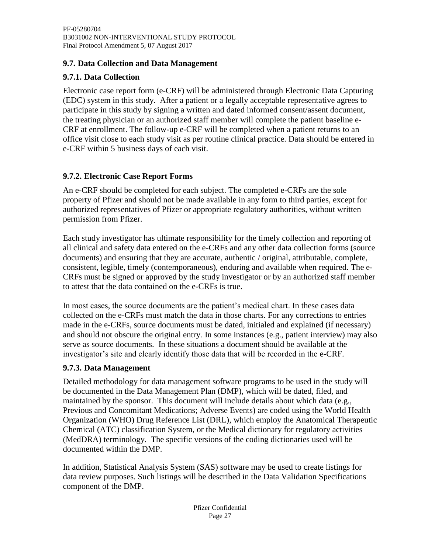#### <span id="page-26-0"></span>**9.7. Data Collection and Data Management**

# <span id="page-26-1"></span>**9.7.1. Data Collection**

Electronic case report form (e-CRF) will be administered through Electronic Data Capturing (EDC) system in this study. After a patient or a legally acceptable representative agrees to participate in this study by signing a written and dated informed consent/assent document, the treating physician or an authorized staff member will complete the patient baseline e-CRF at enrollment. The follow-up e-CRF will be completed when a patient returns to an office visit close to each study visit as per routine clinical practice. Data should be entered in e-CRF within 5 business days of each visit.

# <span id="page-26-2"></span>**9.7.2. Electronic Case Report Forms**

An e-CRF should be completed for each subject. The completed e-CRFs are the sole property of Pfizer and should not be made available in any form to third parties, except for authorized representatives of Pfizer or appropriate regulatory authorities, without written permission from Pfizer.

Each study investigator has ultimate responsibility for the timely collection and reporting of all clinical and safety data entered on the e-CRFs and any other data collection forms (source documents) and ensuring that they are accurate, authentic / original, attributable, complete, consistent, legible, timely (contemporaneous), enduring and available when required. The e-CRFs must be signed or approved by the study investigator or by an authorized staff member to attest that the data contained on the e-CRFs is true.

In most cases, the source documents are the patient's medical chart. In these cases data collected on the e-CRFs must match the data in those charts. For any corrections to entries made in the e-CRFs, source documents must be dated, initialed and explained (if necessary) and should not obscure the original entry. In some instances (e.g., patient interview) may also serve as source documents. In these situations a document should be available at the investigator's site and clearly identify those data that will be recorded in the e-CRF.

#### <span id="page-26-3"></span>**9.7.3. Data Management**

Detailed methodology for data management software programs to be used in the study will be documented in the Data Management Plan (DMP), which will be dated, filed, and maintained by the sponsor. This document will include details about which data (e.g., Previous and Concomitant Medications; Adverse Events) are coded using the World Health Organization (WHO) Drug Reference List (DRL), which employ the Anatomical Therapeutic Chemical (ATC) classification System, or the Medical dictionary for regulatory activities (MedDRA) terminology. The specific versions of the coding dictionaries used will be documented within the DMP.

In addition, Statistical Analysis System (SAS) software may be used to create listings for data review purposes. Such listings will be described in the Data Validation Specifications component of the DMP.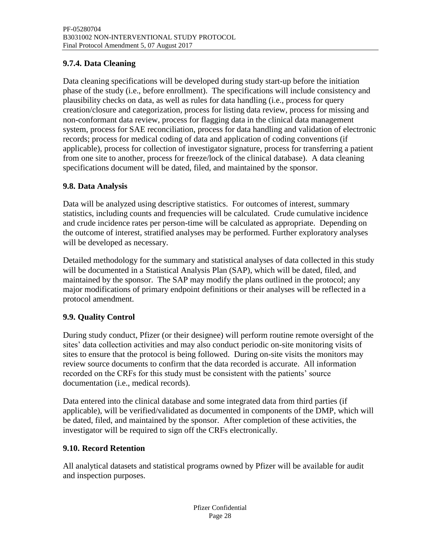# <span id="page-27-0"></span>**9.7.4. Data Cleaning**

Data cleaning specifications will be developed during study start-up before the initiation phase of the study (i.e., before enrollment). The specifications will include consistency and plausibility checks on data, as well as rules for data handling (i.e., process for query creation/closure and categorization, process for listing data review, process for missing and non-conformant data review, process for flagging data in the clinical data management system, process for SAE reconciliation, process for data handling and validation of electronic records; process for medical coding of data and application of coding conventions (if applicable), process for collection of investigator signature, process for transferring a patient from one site to another, process for freeze/lock of the clinical database). A data cleaning specifications document will be dated, filed, and maintained by the sponsor.

## <span id="page-27-1"></span>**9.8. Data Analysis**

Data will be analyzed using descriptive statistics. For outcomes of interest, summary statistics, including counts and frequencies will be calculated. Crude cumulative incidence and crude incidence rates per person-time will be calculated as appropriate. Depending on the outcome of interest, stratified analyses may be performed. Further exploratory analyses will be developed as necessary.

Detailed methodology for the summary and statistical analyses of data collected in this study will be documented in a Statistical Analysis Plan (SAP), which will be dated, filed, and maintained by the sponsor. The SAP may modify the plans outlined in the protocol; any major modifications of primary endpoint definitions or their analyses will be reflected in a protocol amendment.

# <span id="page-27-2"></span>**9.9. Quality Control**

During study conduct, Pfizer (or their designee) will perform routine remote oversight of the sites' data collection activities and may also conduct periodic on-site monitoring visits of sites to ensure that the protocol is being followed. During on-site visits the monitors may review source documents to confirm that the data recorded is accurate. All information recorded on the CRFs for this study must be consistent with the patients' source documentation (i.e., medical records).

Data entered into the clinical database and some integrated data from third parties (if applicable), will be verified/validated as documented in components of the DMP, which will be dated, filed, and maintained by the sponsor. After completion of these activities, the investigator will be required to sign off the CRFs electronically.

#### <span id="page-27-3"></span>**9.10. Record Retention**

All analytical datasets and statistical programs owned by Pfizer will be available for audit and inspection purposes.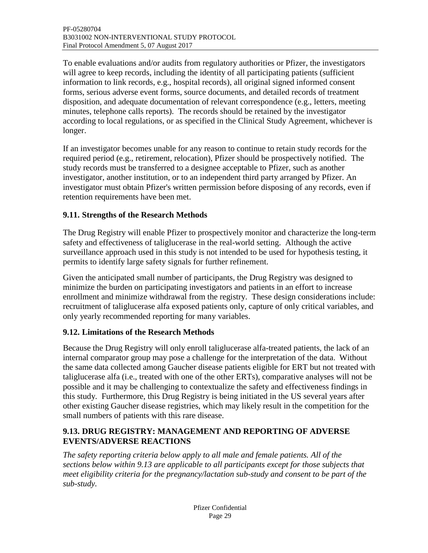To enable evaluations and/or audits from regulatory authorities or Pfizer, the investigators will agree to keep records, including the identity of all participating patients (sufficient information to link records, e.g., hospital records), all original signed informed consent forms, serious adverse event forms, source documents, and detailed records of treatment disposition, and adequate documentation of relevant correspondence (e.g., letters, meeting minutes, telephone calls reports). The records should be retained by the investigator according to local regulations, or as specified in the Clinical Study Agreement, whichever is longer.

If an investigator becomes unable for any reason to continue to retain study records for the required period (e.g., retirement, relocation), Pfizer should be prospectively notified. The study records must be transferred to a designee acceptable to Pfizer, such as another investigator, another institution, or to an independent third party arranged by Pfizer. An investigator must obtain Pfizer's written permission before disposing of any records, even if retention requirements have been met.

# <span id="page-28-0"></span>**9.11. Strengths of the Research Methods**

The Drug Registry will enable Pfizer to prospectively monitor and characterize the long-term safety and effectiveness of taliglucerase in the real-world setting. Although the active surveillance approach used in this study is not intended to be used for hypothesis testing, it permits to identify large safety signals for further refinement.

Given the anticipated small number of participants, the Drug Registry was designed to minimize the burden on participating investigators and patients in an effort to increase enrollment and minimize withdrawal from the registry. These design considerations include: recruitment of taliglucerase alfa exposed patients only, capture of only critical variables, and only yearly recommended reporting for many variables.

# <span id="page-28-1"></span>**9.12. Limitations of the Research Methods**

Because the Drug Registry will only enroll taliglucerase alfa-treated patients, the lack of an internal comparator group may pose a challenge for the interpretation of the data. Without the same data collected among Gaucher disease patients eligible for ERT but not treated with taliglucerase alfa (i.e., treated with one of the other ERTs), comparative analyses will not be possible and it may be challenging to contextualize the safety and effectiveness findings in this study. Furthermore, this Drug Registry is being initiated in the US several years after other existing Gaucher disease registries, which may likely result in the competition for the small numbers of patients with this rare disease.

# <span id="page-28-2"></span>**9.13. DRUG REGISTRY: MANAGEMENT AND REPORTING OF ADVERSE EVENTS/ADVERSE REACTIONS**

*The safety reporting criteria below apply to all male and female patients. All of the sections below within 9.13 are applicable to all participants except for those subjects that meet eligibility criteria for the pregnancy/lactation sub-study and consent to be part of the sub-study.*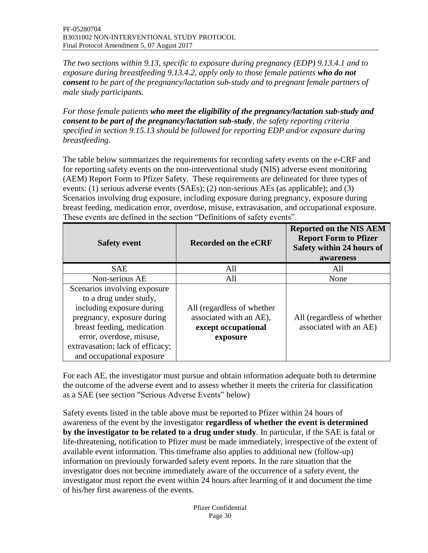*The two sections within [9.13,](#page-28-2) specific to exposure during pregnancy (EDP) [9.13.4.1](#page-33-2) and to exposure during breastfeeding [9.13.4.2,](#page-35-0) apply only to those female patients who do not consent to be part of the pregnancy/lactation sub-study and to pregnant female partners of male study participants.* 

*For those female patients who meet the eligibility of the pregnancy/lactation sub-study and consent to be part of the pregnancy/lactation sub-study, the safety reporting criteria specified in section [9.15.13](#page-45-0) should be followed for reporting EDP and/or exposure during breastfeeding.*

The table below summarizes the requirements for recording safety events on the e-CRF and for reporting safety events on the non-interventional study (NIS) adverse event monitoring (AEM) Report Form to Pfizer Safety. These requirements are delineated for three types of events: (1) serious adverse events (SAEs); (2) non-serious AEs (as applicable); and (3) Scenarios involving drug exposure, including exposure during pregnancy, exposure during breast feeding, medication error, overdose, misuse, extravasation, and occupational exposure. These events are defined in the section "Definitions of safety events".

| <b>Safety event</b>                                                                                                                                                                                                                          | <b>Recorded on the eCRF</b>                                                              | <b>Reported on the NIS AEM</b><br><b>Report Form to Pfizer</b><br>Safety within 24 hours of<br>awareness |  |
|----------------------------------------------------------------------------------------------------------------------------------------------------------------------------------------------------------------------------------------------|------------------------------------------------------------------------------------------|----------------------------------------------------------------------------------------------------------|--|
| <b>SAE</b>                                                                                                                                                                                                                                   | All                                                                                      | All                                                                                                      |  |
| Non-serious AE                                                                                                                                                                                                                               | All                                                                                      | None                                                                                                     |  |
| Scenarios involving exposure<br>to a drug under study,<br>including exposure during<br>pregnancy, exposure during<br>breast feeding, medication<br>error, overdose, misuse,<br>extravasation; lack of efficacy;<br>and occupational exposure | All (regardless of whether<br>associated with an AE),<br>except occupational<br>exposure | All (regardless of whether<br>associated with an AE)                                                     |  |

For each AE, the investigator must pursue and obtain information adequate both to determine the outcome of the adverse event and to assess whether it meets the criteria for classification as a SAE (see section "Serious Adverse Events" below)

Safety events listed in the table above must be reported to Pfizer within 24 hours of awareness of the event by the investigator **regardless of whether the event is determined by the investigator to be related to a drug under study**. In particular, if the SAE is fatal or life-threatening, notification to Pfizer must be made immediately, irrespective of the extent of available event information. This timeframe also applies to additional new (follow-up) information on previously forwarded safety event reports. In the rare situation that the investigator does not become immediately aware of the occurrence of a safety event, the investigator must report the event within 24 hours after learning of it and document the time of his/her first awareness of the events.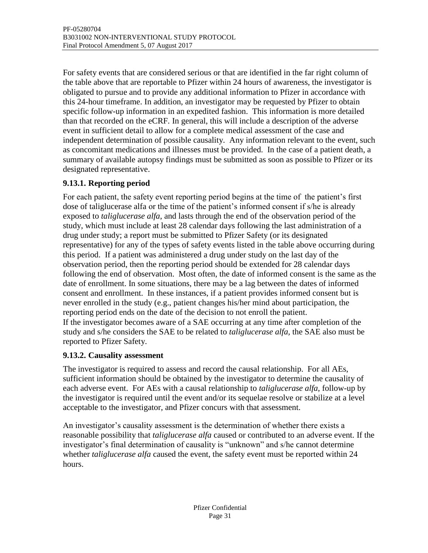For safety events that are considered serious or that are identified in the far right column of the table above that are reportable to Pfizer within 24 hours of awareness, the investigator is obligated to pursue and to provide any additional information to Pfizer in accordance with this 24-hour timeframe. In addition, an investigator may be requested by Pfizer to obtain specific follow-up information in an expedited fashion. This information is more detailed than that recorded on the eCRF*.* In general, this will include a description of the adverse event in sufficient detail to allow for a complete medical assessment of the case and independent determination of possible causality. Any information relevant to the event, such as concomitant medications and illnesses must be provided. In the case of a patient death, a summary of available autopsy findings must be submitted as soon as possible to Pfizer or its designated representative.

# <span id="page-30-0"></span>**9.13.1. Reporting period**

For each patient, the safety event reporting period begins at the time of the patient's first dose of taliglucerase alfa or the time of the patient's informed consent if s/he is already exposed to *taliglucerase alfa*, and lasts through the end of the observation period of the study, which must include at least 28 calendar days following the last administration of a drug under study; a report must be submitted to Pfizer Safety (or its designated representative) for any of the types of safety events listed in the table above occurring during this period. If a patient was administered a drug under study on the last day of the observation period, then the reporting period should be extended for 28 calendar days following the end of observation. Most often, the date of informed consent is the same as the date of enrollment. In some situations, there may be a lag between the dates of informed consent and enrollment. In these instances, if a patient provides informed consent but is never enrolled in the study (e.g., patient changes his/her mind about participation, the reporting period ends on the date of the decision to not enroll the patient. If the investigator becomes aware of a SAE occurring at any time after completion of the study and s/he considers the SAE to be related to *taliglucerase alfa,* the SAE also must be reported to Pfizer Safety.

# <span id="page-30-1"></span>**9.13.2. Causality assessment**

The investigator is required to assess and record the causal relationship. For all AEs, sufficient information should be obtained by the investigator to determine the causality of each adverse event. For AEs with a causal relationship to *taliglucerase alfa*, follow-up by the investigator is required until the event and/or its sequelae resolve or stabilize at a level acceptable to the investigator, and Pfizer concurs with that assessment.

An investigator's causality assessment is the determination of whether there exists a reasonable possibility that *taliglucerase alfa* caused or contributed to an adverse event. If the investigator's final determination of causality is "unknown" and s/he cannot determine whether *taliglucerase alfa* caused the event, the safety event must be reported within 24 hours.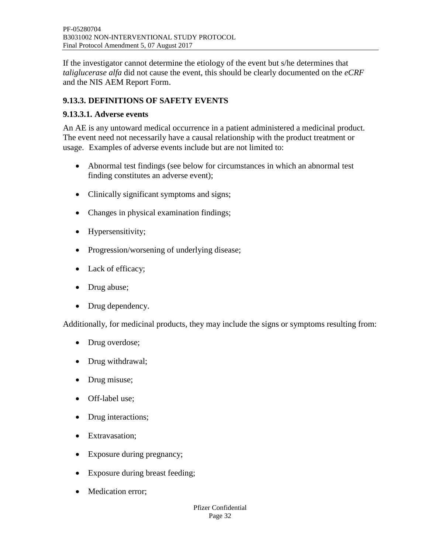If the investigator cannot determine the etiology of the event but s/he determines that *taliglucerase alfa* did not cause the event, this should be clearly documented on the *eCRF* and the NIS AEM Report Form.

# <span id="page-31-0"></span>**9.13.3. DEFINITIONS OF SAFETY EVENTS**

## <span id="page-31-1"></span>**9.13.3.1. Adverse events**

An AE is any untoward medical occurrence in a patient administered a medicinal product. The event need not necessarily have a causal relationship with the product treatment or usage.Examples of adverse events include but are not limited to:

- Abnormal test findings (see below for circumstances in which an abnormal test finding constitutes an adverse event);
- Clinically significant symptoms and signs;
- Changes in physical examination findings;
- Hypersensitivity;
- Progression/worsening of underlying disease;
- Lack of efficacy;
- Drug abuse;
- Drug dependency.

Additionally, for medicinal products, they may include the signs or symptoms resulting from:

- Drug overdose;
- Drug withdrawal;
- Drug misuse;
- Off-label use;
- Drug interactions;
- Extravasation;
- Exposure during pregnancy;
- Exposure during breast feeding;
- Medication error;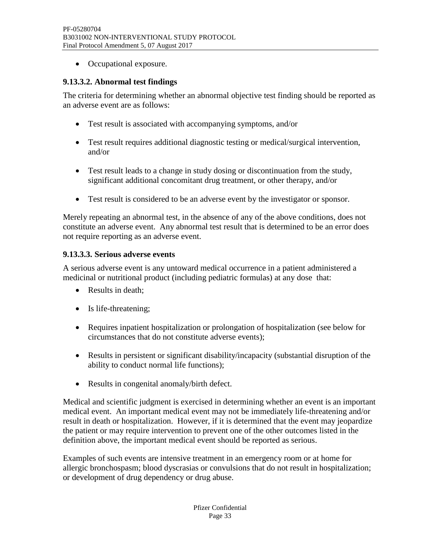• Occupational exposure.

## <span id="page-32-0"></span>**9.13.3.2. Abnormal test findings**

The criteria for determining whether an abnormal objective test finding should be reported as an adverse event are as follows:

- Test result is associated with accompanying symptoms, and/or
- Test result requires additional diagnostic testing or medical/surgical intervention, and/or
- Test result leads to a change in study dosing or discontinuation from the study, significant additional concomitant drug treatment, or other therapy, and/or
- Test result is considered to be an adverse event by the investigator or sponsor.

Merely repeating an abnormal test, in the absence of any of the above conditions, does not constitute an adverse event. Any abnormal test result that is determined to be an error does not require reporting as an adverse event.

## <span id="page-32-1"></span>**9.13.3.3. Serious adverse events**

A serious adverse event is any untoward medical occurrence in a patient administered a medicinal or nutritional product (including pediatric formulas) at any dose that:

- Results in death:
- Is life-threatening;
- Requires inpatient hospitalization or prolongation of hospitalization (see below for circumstances that do not constitute adverse events);
- Results in persistent or significant disability/incapacity (substantial disruption of the ability to conduct normal life functions);
- Results in congenital anomaly/birth defect.

Medical and scientific judgment is exercised in determining whether an event is an important medical event. An important medical event may not be immediately life-threatening and/or result in death or hospitalization. However, if it is determined that the event may jeopardize the patient or may require intervention to prevent one of the other outcomes listed in the definition above, the important medical event should be reported as serious.

Examples of such events are intensive treatment in an emergency room or at home for allergic bronchospasm; blood dyscrasias or convulsions that do not result in hospitalization; or development of drug dependency or drug abuse.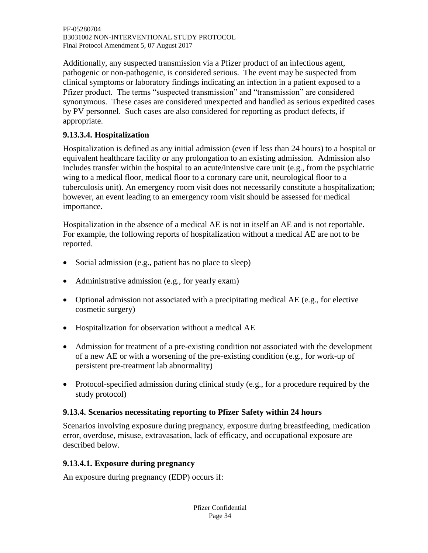Additionally, any suspected transmission via a Pfizer product of an infectious agent, pathogenic or non-pathogenic, is considered serious. The event may be suspected from clinical symptoms or laboratory findings indicating an infection in a patient exposed to a Pfizer product. The terms "suspected transmission" and "transmission" are considered synonymous. These cases are considered unexpected and handled as serious expedited cases by PV personnel. Such cases are also considered for reporting as product defects, if appropriate.

# <span id="page-33-0"></span>**9.13.3.4. Hospitalization**

Hospitalization is defined as any initial admission (even if less than 24 hours) to a hospital or equivalent healthcare facility or any prolongation to an existing admission. Admission also includes transfer within the hospital to an acute/intensive care unit (e.g., from the psychiatric wing to a medical floor, medical floor to a coronary care unit, neurological floor to a tuberculosis unit). An emergency room visit does not necessarily constitute a hospitalization; however, an event leading to an emergency room visit should be assessed for medical importance.

Hospitalization in the absence of a medical AE is not in itself an AE and is not reportable. For example, the following reports of hospitalization without a medical AE are not to be reported.

- Social admission (e.g., patient has no place to sleep)
- Administrative admission (e.g., for yearly exam)
- Optional admission not associated with a precipitating medical AE (e.g., for elective cosmetic surgery)
- Hospitalization for observation without a medical AE
- Admission for treatment of a pre-existing condition not associated with the development of a new AE or with a worsening of the pre-existing condition (e.g., for work-up of persistent pre-treatment lab abnormality)
- Protocol-specified admission during clinical study (e.g., for a procedure required by the study protocol)

#### <span id="page-33-1"></span>**9.13.4. Scenarios necessitating reporting to Pfizer Safety within 24 hours**

Scenarios involving exposure during pregnancy, exposure during breastfeeding, medication error, overdose, misuse, extravasation, lack of efficacy, and occupational exposure are described below.

#### <span id="page-33-2"></span>**9.13.4.1. Exposure during pregnancy**

An exposure during pregnancy (EDP) occurs if: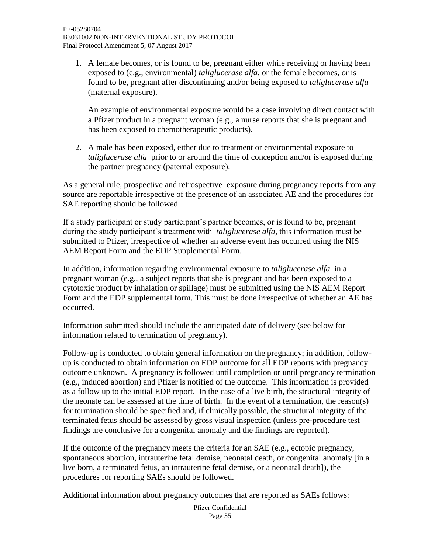1. A female becomes, or is found to be, pregnant either while receiving or having been exposed to (e.g., environmental) *taliglucerase alfa*, or the female becomes, or is found to be, pregnant after discontinuing and/or being exposed to *taliglucerase alfa*  (maternal exposure).

An example of environmental exposure would be a case involving direct contact with a Pfizer product in a pregnant woman (e.g., a nurse reports that she is pregnant and has been exposed to chemotherapeutic products).

2. A male has been exposed, either due to treatment or environmental exposure to *taliglucerase alfa* prior to or around the time of conception and/or is exposed during the partner pregnancy (paternal exposure).

As a general rule, prospective and retrospective exposure during pregnancy reports from any source are reportable irrespective of the presence of an associated AE and the procedures for SAE reporting should be followed.

If a study participant or study participant's partner becomes, or is found to be, pregnant during the study participant's treatment with *taliglucerase alfa*, this information must be submitted to Pfizer, irrespective of whether an adverse event has occurred using the NIS AEM Report Form and the EDP Supplemental Form.

In addition, information regarding environmental exposure to *taliglucerase alfa* in a pregnant woman (e.g., a subject reports that she is pregnant and has been exposed to a cytotoxic product by inhalation or spillage) must be submitted using the NIS AEM Report Form and the EDP supplemental form. This must be done irrespective of whether an AE has occurred.

Information submitted should include the anticipated date of delivery (see below for information related to termination of pregnancy).

Follow-up is conducted to obtain general information on the pregnancy; in addition, followup is conducted to obtain information on EDP outcome for all EDP reports with pregnancy outcome unknown. A pregnancy is followed until completion or until pregnancy termination (e.g., induced abortion) and Pfizer is notified of the outcome. This information is provided as a follow up to the initial EDP report. In the case of a live birth, the structural integrity of the neonate can be assessed at the time of birth. In the event of a termination, the reason(s) for termination should be specified and, if clinically possible, the structural integrity of the terminated fetus should be assessed by gross visual inspection (unless pre-procedure test findings are conclusive for a congenital anomaly and the findings are reported).

If the outcome of the pregnancy meets the criteria for an SAE (e.g., ectopic pregnancy, spontaneous abortion, intrauterine fetal demise, neonatal death, or congenital anomaly [in a live born, a terminated fetus, an intrauterine fetal demise, or a neonatal death]), the procedures for reporting SAEs should be followed.

Additional information about pregnancy outcomes that are reported as SAEs follows: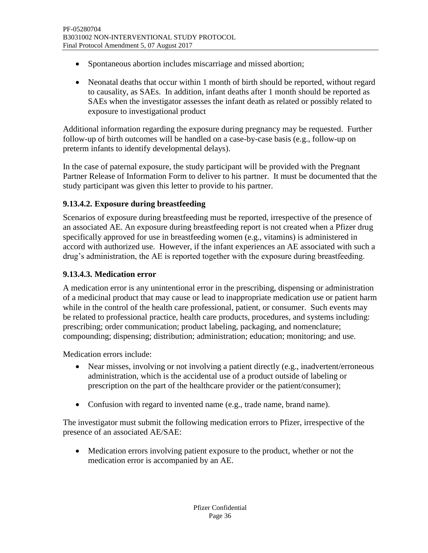- Spontaneous abortion includes miscarriage and missed abortion;
- Neonatal deaths that occur within 1 month of birth should be reported, without regard to causality, as SAEs. In addition, infant deaths after 1 month should be reported as SAEs when the investigator assesses the infant death as related or possibly related to exposure to investigational product

Additional information regarding the exposure during pregnancy may be requested. Further follow-up of birth outcomes will be handled on a case-by-case basis (e.g., follow-up on preterm infants to identify developmental delays).

In the case of paternal exposure, the study participant will be provided with the Pregnant Partner Release of Information Form to deliver to his partner. It must be documented that the study participant was given this letter to provide to his partner.

## <span id="page-35-0"></span>**9.13.4.2. Exposure during breastfeeding**

Scenarios of exposure during breastfeeding must be reported, irrespective of the presence of an associated AE. An exposure during breastfeeding report is not created when a Pfizer drug specifically approved for use in breastfeeding women (e.g., vitamins) is administered in accord with authorized use. However, if the infant experiences an AE associated with such a drug's administration, the AE is reported together with the exposure during breastfeeding.

#### <span id="page-35-1"></span>**9.13.4.3. Medication error**

A medication error is any unintentional error in the prescribing, dispensing or administration of a medicinal product that may cause or lead to inappropriate medication use or patient harm while in the control of the health care professional, patient, or consumer. Such events may be related to professional practice, health care products, procedures, and systems including: prescribing; order communication; product labeling, packaging, and nomenclature; compounding; dispensing; distribution; administration; education; monitoring; and use.

Medication errors include:

- Near misses, involving or not involving a patient directly (e.g., inadvertent/erroneous administration, which is the accidental use of a product outside of labeling or prescription on the part of the healthcare provider or the patient/consumer);
- Confusion with regard to invented name (e.g., trade name, brand name).

The investigator must submit the following medication errors to Pfizer, irrespective of the presence of an associated AE/SAE:

 Medication errors involving patient exposure to the product, whether or not the medication error is accompanied by an AE.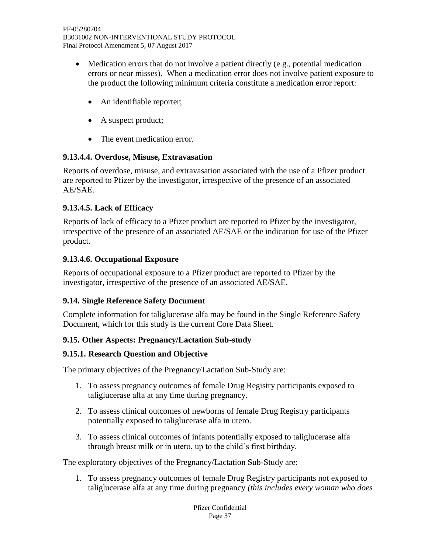- Medication errors that do not involve a patient directly (e.g., potential medication errors or near misses). When a medication error does not involve patient exposure to the product the following minimum criteria constitute a medication error report:
	- An identifiable reporter;
	- A suspect product;
	- The event medication error.

## <span id="page-36-0"></span>**9.13.4.4. Overdose, Misuse, Extravasation**

Reports of overdose, misuse, and extravasation associated with the use of a Pfizer product are reported to Pfizer by the investigator, irrespective of the presence of an associated AE/SAE.

## <span id="page-36-1"></span>**9.13.4.5. Lack of Efficacy**

Reports of lack of efficacy to a Pfizer product are reported to Pfizer by the investigator, irrespective of the presence of an associated AE/SAE or the indication for use of the Pfizer product.

## <span id="page-36-2"></span>**9.13.4.6. Occupational Exposure**

Reports of occupational exposure to a Pfizer product are reported to Pfizer by the investigator, irrespective of the presence of an associated AE/SAE.

#### <span id="page-36-3"></span>**9.14. Single Reference Safety Document**

Complete information for taliglucerase alfa may be found in the Single Reference Safety Document, which for this study is the current Core Data Sheet.

# <span id="page-36-4"></span>**9.15. Other Aspects: Pregnancy/Lactation Sub-study**

#### <span id="page-36-5"></span>**9.15.1. Research Question and Objective**

The primary objectives of the Pregnancy/Lactation Sub-Study are:

- 1. To assess pregnancy outcomes of female Drug Registry participants exposed to taliglucerase alfa at any time during pregnancy.
- 2. To assess clinical outcomes of newborns of female Drug Registry participants potentially exposed to taliglucerase alfa in utero.
- 3. To assess clinical outcomes of infants potentially exposed to taliglucerase alfa through breast milk or in utero, up to the child's first birthday.

The exploratory objectives of the Pregnancy/Lactation Sub-Study are:

1. To assess pregnancy outcomes of female Drug Registry participants not exposed to taliglucerase alfa at any time during pregnancy *(this includes every woman who does*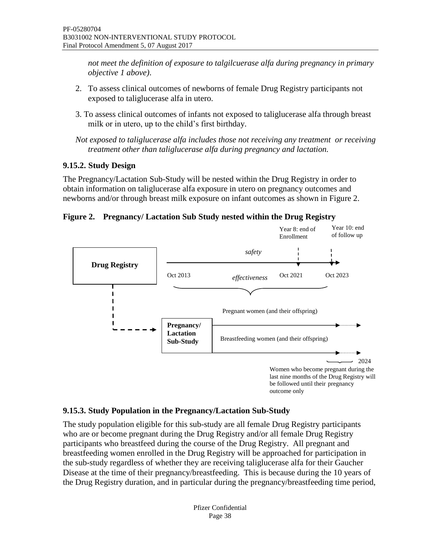<span id="page-37-2"></span>*not meet the definition of exposure to talgilcuerase alfa during pregnancy in primary objective 1 above)*.

- 2. To assess clinical outcomes of newborns of female Drug Registry participants not exposed to taliglucerase alfa in utero.
- 3. To assess clinical outcomes of infants not exposed to taliglucerase alfa through breast milk or in utero, up to the child's first birthday.

*Not exposed to taliglucerase alfa includes those not receiving any treatment or receiving treatment other than taliglucerase alfa during pregnancy and lactation.*

# <span id="page-37-0"></span>**9.15.2. Study Design**

The Pregnancy/Lactation Sub-Study will be nested within the Drug Registry in order to obtain information on taliglucerase alfa exposure in utero on pregnancy outcomes and newborns and/or through breast milk exposure on infant outcomes as shown in [Figure](#page-37-2) 2.

#### **Figure 2. Pregnancy/ Lactation Sub Study nested within the Drug Registry**



#### <span id="page-37-1"></span>**9.15.3. Study Population in the Pregnancy/Lactation Sub-Study**

The study population eligible for this sub-study are all female Drug Registry participants who are or become pregnant during the Drug Registry and/or all female Drug Registry participants who breastfeed during the course of the Drug Registry. All pregnant and breastfeeding women enrolled in the Drug Registry will be approached for participation in the sub-study regardless of whether they are receiving taliglucerase alfa for their Gaucher Disease at the time of their pregnancy/breastfeeding. This is because during the 10 years of the Drug Registry duration, and in particular during the pregnancy/breastfeeding time period,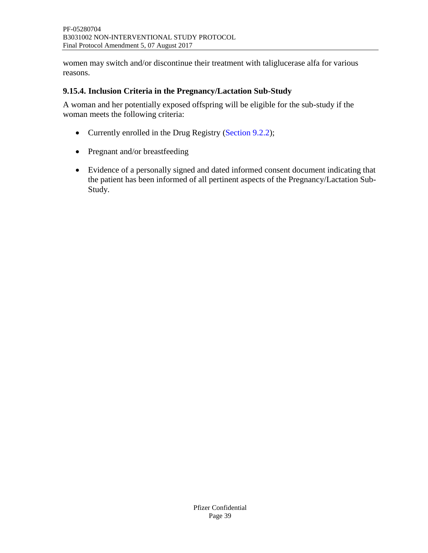women may switch and/or discontinue their treatment with taliglucerase alfa for various reasons.

#### <span id="page-38-0"></span>**9.15.4. Inclusion Criteria in the Pregnancy/Lactation Sub-Study**

A woman and her potentially exposed offspring will be eligible for the sub-study if the woman meets the following criteria:

- Currently enrolled in the Drug Registry [\(Section 9.2.2\)](#page-19-0);
- Pregnant and/or breastfeeding
- Evidence of a personally signed and dated informed consent document indicating that the patient has been informed of all pertinent aspects of the Pregnancy/Lactation Sub-Study.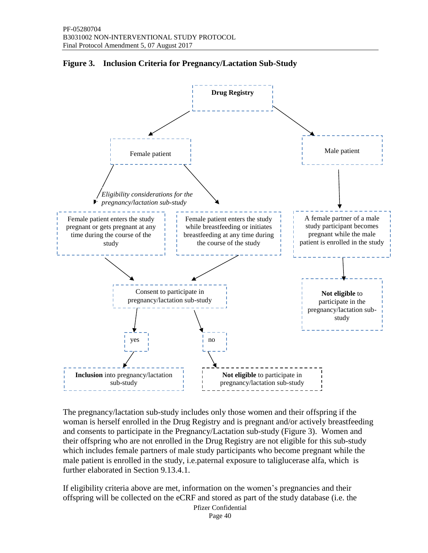

### <span id="page-39-0"></span>**Figure 3. Inclusion Criteria for Pregnancy/Lactation Sub-Study**

The pregnancy/lactation sub-study includes only those women and their offspring if the woman is herself enrolled in the Drug Registry and is pregnant and/or actively breastfeeding and consents to participate in the Pregnancy/Lactation sub-study (Figure 3). Women and their offspring who are not enrolled in the Drug Registry are not eligible for this sub-study which includes female partners of male study participants who become pregnant while the male patient is enrolled in the study, i.e.paternal exposure to taliglucerase alfa, which is further elaborated in Section 9.13.4.1.

If eligibility criteria above are met, information on the women's pregnancies and their offspring will be collected on the eCRF and stored as part of the study database (i.e. the

> Pfizer Confidential Page 40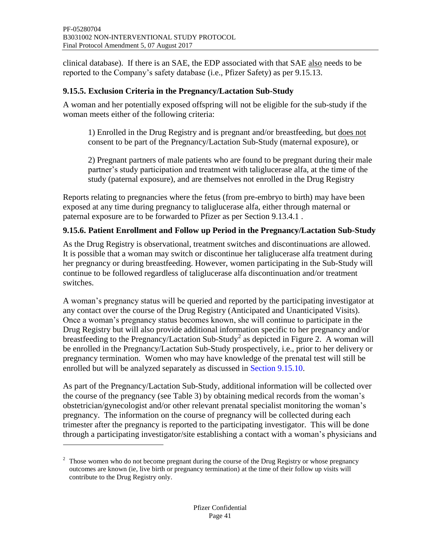clinical database). If there is an SAE, the EDP associated with that SAE also needs to be reported to the Company's safety database (i.e., Pfizer Safety) as per 9.15.13.

# <span id="page-40-0"></span>**9.15.5. Exclusion Criteria in the Pregnancy/Lactation Sub-Study**

A woman and her potentially exposed offspring will not be eligible for the sub-study if the woman meets either of the following criteria:

1) Enrolled in the Drug Registry and is pregnant and/or breastfeeding, but does not consent to be part of the Pregnancy/Lactation Sub-Study (maternal exposure), or

2) Pregnant partners of male patients who are found to be pregnant during their male partner's study participation and treatment with taliglucerase alfa, at the time of the study (paternal exposure), and are themselves not enrolled in the Drug Registry

Reports relating to pregnancies where the fetus (from pre-embryo to birth) may have been exposed at any time during pregnancy to taliglucerase alfa, either through maternal or paternal exposure are to be forwarded to Pfizer as per Section [9.13.4.1](#page-33-2) .

# <span id="page-40-1"></span>**9.15.6. Patient Enrollment and Follow up Period in the Pregnancy/Lactation Sub-Study**

As the Drug Registry is observational, treatment switches and discontinuations are allowed. It is possible that a woman may switch or discontinue her taliglucerase alfa treatment during her pregnancy or during breastfeeding. However, women participating in the Sub-Study will continue to be followed regardless of taliglucerase alfa discontinuation and/or treatment switches.

A woman's pregnancy status will be queried and reported by the participating investigator at any contact over the course of the Drug Registry (Anticipated and Unanticipated Visits). Once a woman's pregnancy status becomes known, she will continue to participate in the Drug Registry but will also provide additional information specific to her pregnancy and/or breastfeeding to the Pregnancy/Lactation Sub-Study<sup>2</sup> as depicted in [Figure](#page-37-2) 2. A woman will be enrolled in the Pregnancy/Lactation Sub-Study prospectively, i.e., prior to her delivery or pregnancy termination. Women who may have knowledge of the prenatal test will still be enrolled but will be analyzed separately as discussed in [Section](#page-44-0) [9.15.10.](#page-44-0)

As part of the Pregnancy/Lactation Sub-Study, additional information will be collected over the course of the pregnancy (see [Table](#page-43-0) 3) by obtaining medical records from the woman's obstetrician/gynecologist and/or other relevant prenatal specialist monitoring the woman's pregnancy. The information on the course of pregnancy will be collected during each trimester after the pregnancy is reported to the participating investigator. This will be done through a participating investigator/site establishing a contact with a woman's physicians and

 $\overline{a}$ 

 $2\degree$  Those women who do not become pregnant during the course of the Drug Registry or whose pregnancy outcomes are known (ie, live birth or pregnancy termination) at the time of their follow up visits will contribute to the Drug Registry only.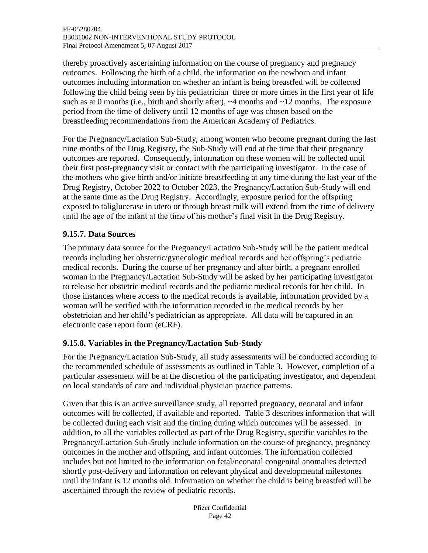thereby proactively ascertaining information on the course of pregnancy and pregnancy outcomes. Following the birth of a child, the information on the newborn and infant outcomes including information on whether an infant is being breastfed will be collected following the child being seen by his pediatrician three or more times in the first year of life such as at 0 months (i.e., birth and shortly after),  $\sim$  4 months and  $\sim$  12 months. The exposure period from the time of delivery until 12 months of age was chosen based on the breastfeeding recommendations from the American Academy of Pediatrics.

For the Pregnancy/Lactation Sub-Study, among women who become pregnant during the last nine months of the Drug Registry, the Sub-Study will end at the time that their pregnancy outcomes are reported. Consequently, information on these women will be collected until their first post-pregnancy visit or contact with the participating investigator. In the case of the mothers who give birth and/or initiate breastfeeding at any time during the last year of the Drug Registry, October 2022 to October 2023, the Pregnancy/Lactation Sub-Study will end at the same time as the Drug Registry. Accordingly, exposure period for the offspring exposed to taliglucerase in utero or through breast milk will extend from the time of delivery until the age of the infant at the time of his mother's final visit in the Drug Registry.

## <span id="page-41-0"></span>**9.15.7. Data Sources**

The primary data source for the Pregnancy/Lactation Sub-Study will be the patient medical records including her obstetric/gynecologic medical records and her offspring's pediatric medical records. During the course of her pregnancy and after birth, a pregnant enrolled woman in the Pregnancy/Lactation Sub-Study will be asked by her participating investigator to release her obstetric medical records and the pediatric medical records for her child. In those instances where access to the medical records is available, information provided by a woman will be verified with the information recorded in the medical records by her obstetrician and her child's pediatrician as appropriate. All data will be captured in an electronic case report form (eCRF).

# <span id="page-41-1"></span>**9.15.8. Variables in the Pregnancy/Lactation Sub-Study**

For the Pregnancy/Lactation Sub-Study, all study assessments will be conducted according to the recommended schedule of assessments as outlined in [Table](#page-43-0) 3. However, completion of a particular assessment will be at the discretion of the participating investigator, and dependent on local standards of care and individual physician practice patterns.

Given that this is an active surveillance study, all reported pregnancy, neonatal and infant outcomes will be collected, if available and reported. Table 3 describes information that will be collected during each visit and the timing during which outcomes will be assessed. In addition, to all the variables collected as part of the Drug Registry, specific variables to the Pregnancy/Lactation Sub-Study include information on the course of pregnancy, pregnancy outcomes in the mother and offspring, and infant outcomes. The information collected includes but not limited to the information on fetal/neonatal congenital anomalies detected shortly post-delivery and information on relevant physical and developmental milestones until the infant is 12 months old. Information on whether the child is being breastfed will be ascertained through the review of pediatric records.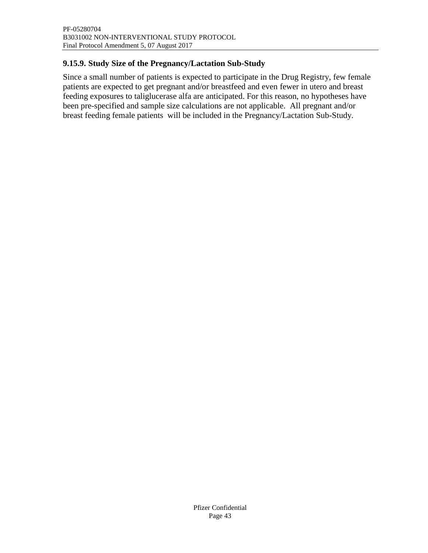# <span id="page-42-0"></span>**9.15.9. Study Size of the Pregnancy/Lactation Sub-Study**

Since a small number of patients is expected to participate in the Drug Registry, few female patients are expected to get pregnant and/or breastfeed and even fewer in utero and breast feeding exposures to taliglucerase alfa are anticipated. For this reason, no hypotheses have been pre-specified and sample size calculations are not applicable. All pregnant and/or breast feeding female patients will be included in the Pregnancy/Lactation Sub-Study.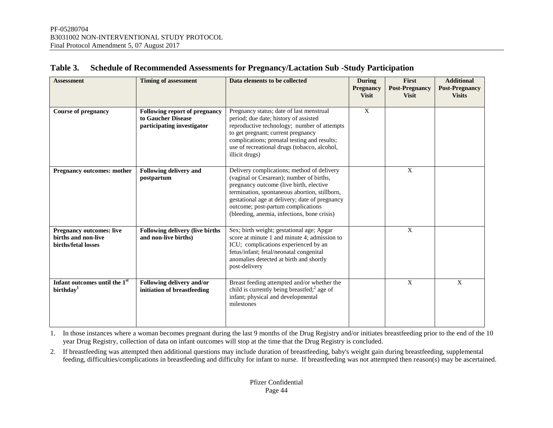<span id="page-43-0"></span>

| <b>Assessment</b>                                                             | <b>Timing of assessment</b>                                                              | Data elements to be collected                                                                                                                                                                                                                                                                                             | <b>During</b><br><b>Pregnancy</b><br><b>Visit</b> | First<br><b>Post-Pregnancy</b><br><b>Visit</b> | <b>Additional</b><br><b>Post-Pregnancy</b><br><b>Visits</b> |
|-------------------------------------------------------------------------------|------------------------------------------------------------------------------------------|---------------------------------------------------------------------------------------------------------------------------------------------------------------------------------------------------------------------------------------------------------------------------------------------------------------------------|---------------------------------------------------|------------------------------------------------|-------------------------------------------------------------|
| <b>Course of pregnancy</b>                                                    | <b>Following report of pregnancy</b><br>to Gaucher Disease<br>participating investigator | Pregnancy status; date of last menstrual<br>period; due date; history of assisted<br>reproductive technology; number of attempts<br>to get pregnant; current pregnancy<br>complications; prenatal testing and results;<br>use of recreational drugs (tobacco, alcohol,<br>illicit drugs)                                  | $\boldsymbol{\mathrm{X}}$                         |                                                |                                                             |
| <b>Pregnancy outcomes: mother</b>                                             | <b>Following delivery and</b><br>postpartum                                              | Delivery complications; method of delivery<br>(vaginal or Cesarean); number of births,<br>pregnancy outcome (live birth, elective<br>termination, spontaneous abortion, stillborn,<br>gestational age at delivery; date of pregnancy<br>outcome; post-partum complications<br>(bleeding, anemia, infections, bone crisis) |                                                   | $\mathbf{X}$                                   |                                                             |
| <b>Pregnancy outcomes: live</b><br>births and non-live<br>births/fetal losses | <b>Following delivery (live births)</b><br>and non-live births)                          | Sex; birth weight; gestational age; Apgar<br>score at minute 1 and minute 4; admission to<br>ICU; complications experienced by an<br>fetus/infant; fetal/neonatal congenital<br>anomalies detected at birth and shortly<br>post-delivery                                                                                  |                                                   | $\mathbf{X}$                                   |                                                             |
| Infant outcomes until the 1st<br>birthday <sup>1</sup>                        | Following delivery and/or<br>initiation of breastfeeding                                 | Breast feeding attempted and/or whether the<br>child is currently being breastfed; <sup>2</sup> age of<br>infant; physical and developmental<br>milestones                                                                                                                                                                |                                                   | $\mathbf{X}$                                   | $\mathbf{X}$                                                |

## **Table 3. Schedule of Recommended Assessments for Pregnancy/Lactation Sub -Study Participation**

1. In those instances where a woman becomes pregnant during the last 9 months of the Drug Registry and/or initiates breastfeeding prior to the end of the 10 year Drug Registry, collection of data on infant outcomes will stop at the time that the Drug Registry is concluded.

2. If breastfeeding was attempted then additional questions may include duration of breastfeeding, baby's weight gain during breastfeeding, supplemental feeding, difficulties/complications in breastfeeding and difficulty for infant to nurse. If breastfeeding was not attempted then reason(s) may be ascertained.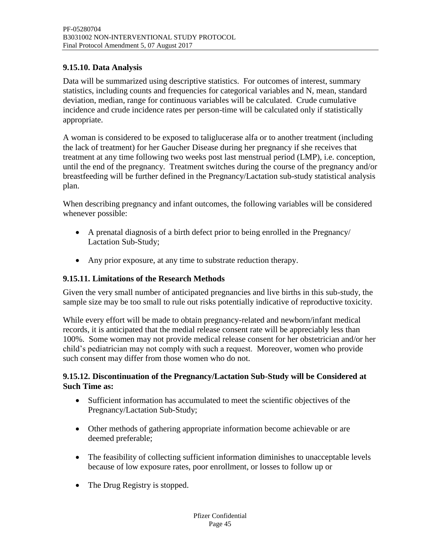# <span id="page-44-0"></span>**9.15.10. Data Analysis**

Data will be summarized using descriptive statistics. For outcomes of interest, summary statistics, including counts and frequencies for categorical variables and N, mean, standard deviation, median, range for continuous variables will be calculated. Crude cumulative incidence and crude incidence rates per person-time will be calculated only if statistically appropriate.

A woman is considered to be exposed to taliglucerase alfa or to another treatment (including the lack of treatment) for her Gaucher Disease during her pregnancy if she receives that treatment at any time following two weeks post last menstrual period (LMP), i.e. conception, until the end of the pregnancy. Treatment switches during the course of the pregnancy and/or breastfeeding will be further defined in the Pregnancy/Lactation sub-study statistical analysis plan.

When describing pregnancy and infant outcomes, the following variables will be considered whenever possible:

- A prenatal diagnosis of a birth defect prior to being enrolled in the Pregnancy/ Lactation Sub-Study;
- Any prior exposure, at any time to substrate reduction therapy.

### <span id="page-44-1"></span>**9.15.11. Limitations of the Research Methods**

Given the very small number of anticipated pregnancies and live births in this sub-study, the sample size may be too small to rule out risks potentially indicative of reproductive toxicity.

While every effort will be made to obtain pregnancy-related and newborn/infant medical records, it is anticipated that the medial release consent rate will be appreciably less than 100%. Some women may not provide medical release consent for her obstetrician and/or her child's pediatrician may not comply with such a request. Moreover, women who provide such consent may differ from those women who do not.

## <span id="page-44-2"></span>**9.15.12. Discontinuation of the Pregnancy/Lactation Sub-Study will be Considered at Such Time as:**

- Sufficient information has accumulated to meet the scientific objectives of the Pregnancy/Lactation Sub-Study;
- Other methods of gathering appropriate information become achievable or are deemed preferable;
- The feasibility of collecting sufficient information diminishes to unacceptable levels because of low exposure rates, poor enrollment, or losses to follow up or
- The Drug Registry is stopped.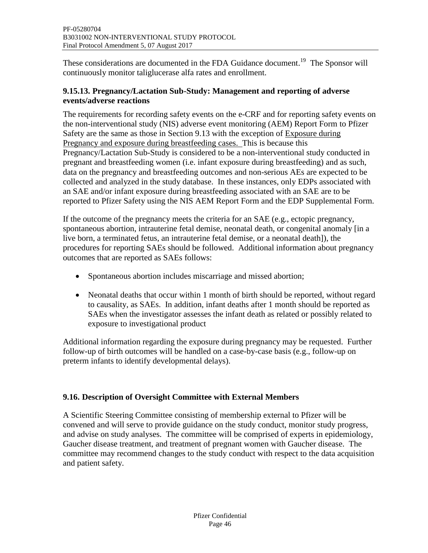These considerations are documented in the FDA Guidance document.<sup>[19](#page-50-4)</sup> The Sponsor will continuously monitor taliglucerase alfa rates and enrollment.

#### <span id="page-45-0"></span>**9.15.13. Pregnancy/Lactation Sub-Study: Management and reporting of adverse events/adverse reactions**

The requirements for recording safety events on the e-CRF and for reporting safety events on the non-interventional study (NIS) adverse event monitoring (AEM) Report Form to Pfizer Safety are the same as those in Section 9.13 with the exception of Exposure during Pregnancy and exposure during breastfeeding cases. This is because this Pregnancy/Lactation Sub-Study is considered to be a non-interventional study conducted in pregnant and breastfeeding women (i.e. infant exposure during breastfeeding) and as such, data on the pregnancy and breastfeeding outcomes and non-serious AEs are expected to be collected and analyzed in the study database. In these instances, only EDPs associated with an SAE and/or infant exposure during breastfeeding associated with an SAE are to be reported to Pfizer Safety using the NIS AEM Report Form and the EDP Supplemental Form.

If the outcome of the pregnancy meets the criteria for an SAE (e.g., ectopic pregnancy, spontaneous abortion, intrauterine fetal demise, neonatal death, or congenital anomaly [in a live born, a terminated fetus, an intrauterine fetal demise, or a neonatal death]), the procedures for reporting SAEs should be followed. Additional information about pregnancy outcomes that are reported as SAEs follows:

- Spontaneous abortion includes miscarriage and missed abortion;
- Neonatal deaths that occur within 1 month of birth should be reported, without regard to causality, as SAEs. In addition, infant deaths after 1 month should be reported as SAEs when the investigator assesses the infant death as related or possibly related to exposure to investigational product

Additional information regarding the exposure during pregnancy may be requested. Further follow-up of birth outcomes will be handled on a case-by-case basis (e.g., follow-up on preterm infants to identify developmental delays).

# <span id="page-45-1"></span>**9.16. Description of Oversight Committee with External Members**

A Scientific Steering Committee consisting of membership external to Pfizer will be convened and will serve to provide guidance on the study conduct, monitor study progress, and advise on study analyses. The committee will be comprised of experts in epidemiology, Gaucher disease treatment, and treatment of pregnant women with Gaucher disease. The committee may recommend changes to the study conduct with respect to the data acquisition and patient safety.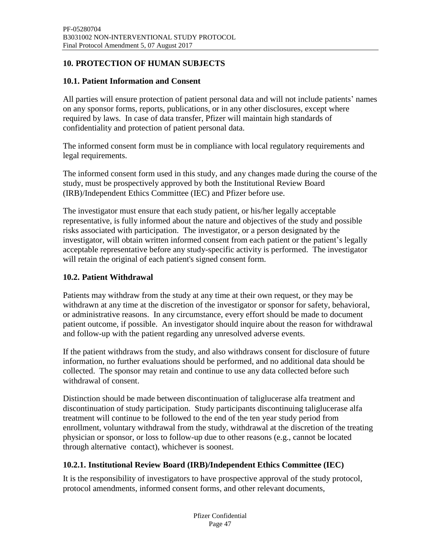# <span id="page-46-0"></span>**10. PROTECTION OF HUMAN SUBJECTS**

## <span id="page-46-1"></span>**10.1. Patient Information and Consent**

All parties will ensure protection of patient personal data and will not include patients' names on any sponsor forms, reports, publications, or in any other disclosures, except where required by laws. In case of data transfer, Pfizer will maintain high standards of confidentiality and protection of patient personal data.

The informed consent form must be in compliance with local regulatory requirements and legal requirements.

The informed consent form used in this study, and any changes made during the course of the study, must be prospectively approved by both the Institutional Review Board (IRB)/Independent Ethics Committee (IEC) and Pfizer before use.

The investigator must ensure that each study patient, or his/her legally acceptable representative, is fully informed about the nature and objectives of the study and possible risks associated with participation. The investigator, or a person designated by the investigator, will obtain written informed consent from each patient or the patient's legally acceptable representative before any study-specific activity is performed. The investigator will retain the original of each patient's signed consent form.

### <span id="page-46-2"></span>**10.2. Patient Withdrawal**

Patients may withdraw from the study at any time at their own request, or they may be withdrawn at any time at the discretion of the investigator or sponsor for safety, behavioral, or administrative reasons. In any circumstance, every effort should be made to document patient outcome, if possible. An investigator should inquire about the reason for withdrawal and follow-up with the patient regarding any unresolved adverse events.

If the patient withdraws from the study, and also withdraws consent for disclosure of future information, no further evaluations should be performed, and no additional data should be collected. The sponsor may retain and continue to use any data collected before such withdrawal of consent.

Distinction should be made between discontinuation of taliglucerase alfa treatment and discontinuation of study participation. Study participants discontinuing taliglucerase alfa treatment will continue to be followed to the end of the ten year study period from enrollment, voluntary withdrawal from the study, withdrawal at the discretion of the treating physician or sponsor, or loss to follow-up due to other reasons (e.g., cannot be located through alternative contact), whichever is soonest.

# <span id="page-46-3"></span>**10.2.1. Institutional Review Board (IRB)/Independent Ethics Committee (IEC)**

It is the responsibility of investigators to have prospective approval of the study protocol, protocol amendments, informed consent forms, and other relevant documents,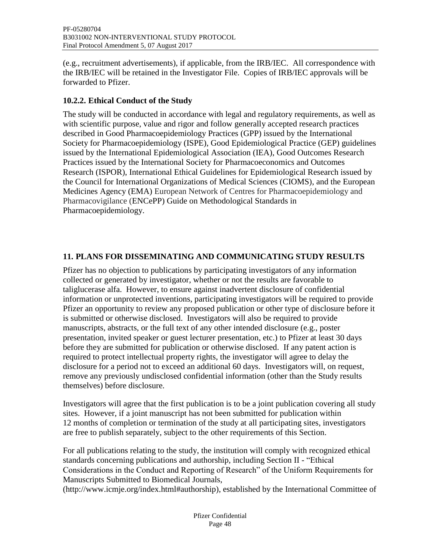(e.g., recruitment advertisements), if applicable, from the IRB/IEC. All correspondence with the IRB/IEC will be retained in the Investigator File. Copies of IRB/IEC approvals will be forwarded to Pfizer.

# <span id="page-47-0"></span>**10.2.2. Ethical Conduct of the Study**

The study will be conducted in accordance with legal and regulatory requirements, as well as with scientific purpose, value and rigor and follow generally accepted research practices described in Good Pharmacoepidemiology Practices (GPP) issued by the International Society for Pharmacoepidemiology (ISPE), Good Epidemiological Practice (GEP) guidelines issued by the International Epidemiological Association (IEA), Good Outcomes Research Practices issued by the International Society for Pharmacoeconomics and Outcomes Research (ISPOR), International Ethical Guidelines for Epidemiological Research issued by the Council for International Organizations of Medical Sciences (CIOMS), and the European Medicines Agency (EMA) European Network of Centres for Pharmacoepidemiology and Pharmacovigilance (ENCePP) Guide on Methodological Standards in Pharmacoepidemiology.

# <span id="page-47-1"></span>**11. PLANS FOR DISSEMINATING AND COMMUNICATING STUDY RESULTS**

Pfizer has no objection to publications by participating investigators of any information collected or generated by investigator, whether or not the results are favorable to taliglucerase alfa. However, to ensure against inadvertent disclosure of confidential information or unprotected inventions, participating investigators will be required to provide Pfizer an opportunity to review any proposed publication or other type of disclosure before it is submitted or otherwise disclosed. Investigators will also be required to provide manuscripts, abstracts, or the full text of any other intended disclosure (e.g., poster presentation, invited speaker or guest lecturer presentation, etc.) to Pfizer at least 30 days before they are submitted for publication or otherwise disclosed. If any patent action is required to protect intellectual property rights, the investigator will agree to delay the disclosure for a period not to exceed an additional 60 days. Investigators will, on request, remove any previously undisclosed confidential information (other than the Study results themselves) before disclosure.

Investigators will agree that the first publication is to be a joint publication covering all study sites. However, if a joint manuscript has not been submitted for publication within 12 months of completion or termination of the study at all participating sites, investigators are free to publish separately, subject to the other requirements of this Section.

For all publications relating to the study, the institution will comply with recognized ethical standards concerning publications and authorship, including Section II - "Ethical Considerations in the Conduct and Reporting of Research" of the Uniform Requirements for Manuscripts Submitted to Biomedical Journals,

(http://www.icmje.org/index.html#authorship), established by the International Committee of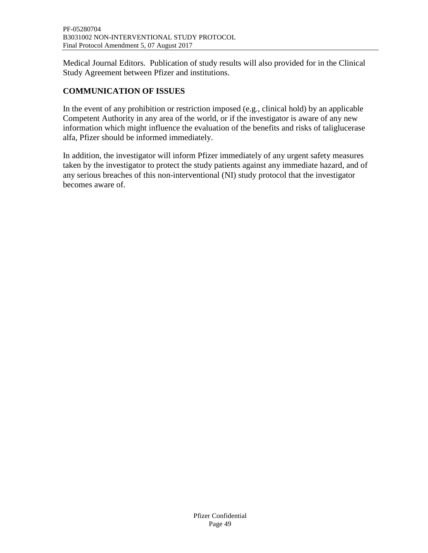Medical Journal Editors. Publication of study results will also provided for in the Clinical Study Agreement between Pfizer and institutions.

# **COMMUNICATION OF ISSUES**

In the event of any prohibition or restriction imposed (e.g., clinical hold) by an applicable Competent Authority in any area of the world, or if the investigator is aware of any new information which might influence the evaluation of the benefits and risks of taliglucerase alfa, Pfizer should be informed immediately.

In addition, the investigator will inform Pfizer immediately of any urgent safety measures taken by the investigator to protect the study patients against any immediate hazard, and of any serious breaches of this non-interventional (NI) study protocol that the investigator becomes aware of.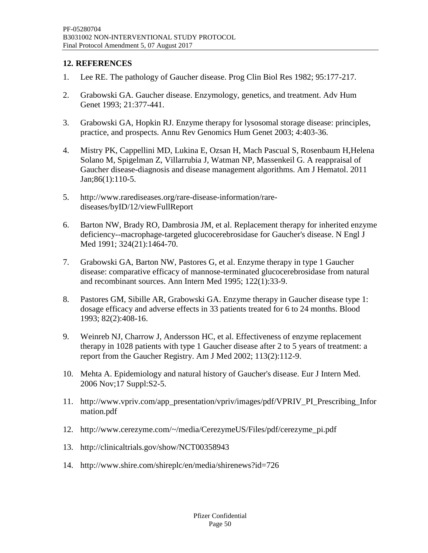### <span id="page-49-0"></span>**12. REFERENCES**

- <span id="page-49-1"></span>1. Lee RE. The pathology of Gaucher disease. Prog Clin Biol Res 1982; 95:177-217.
- <span id="page-49-2"></span>2. Grabowski GA. Gaucher disease. Enzymology, genetics, and treatment. Adv Hum Genet 1993; 21:377-441.
- <span id="page-49-3"></span>3. Grabowski GA, Hopkin RJ. Enzyme therapy for lysosomal storage disease: principles, practice, and prospects. Annu Rev Genomics Hum Genet 2003; 4:403-36.
- <span id="page-49-4"></span>4. Mistry PK, Cappellini MD, Lukina E, Ozsan H, Mach Pascual S, Rosenbaum H,Helena Solano M, Spigelman Z, Villarrubia J, Watman NP, Massenkeil G. A reappraisal of Gaucher disease-diagnosis and disease management algorithms. Am J Hematol. 2011 Jan;86(1):110-5.
- <span id="page-49-5"></span>5. http://www.rarediseases.org/rare-disease-information/rarediseases/byID/12/viewFullReport
- <span id="page-49-6"></span>6. Barton NW, Brady RO, Dambrosia JM, et al. Replacement therapy for inherited enzyme deficiency--macrophage-targeted glucocerebrosidase for Gaucher's disease. N Engl J Med 1991; 324(21):1464-70.
- <span id="page-49-7"></span>7. Grabowski GA, Barton NW, Pastores G, et al. Enzyme therapy in type 1 Gaucher disease: comparative efficacy of mannose-terminated glucocerebrosidase from natural and recombinant sources. Ann Intern Med 1995; 122(1):33-9.
- <span id="page-49-8"></span>8. Pastores GM, Sibille AR, Grabowski GA. Enzyme therapy in Gaucher disease type 1: dosage efficacy and adverse effects in 33 patients treated for 6 to 24 months. Blood 1993; 82(2):408-16.
- <span id="page-49-9"></span>9. Weinreb NJ, Charrow J, Andersson HC, et al. Effectiveness of enzyme replacement therapy in 1028 patients with type 1 Gaucher disease after 2 to 5 years of treatment: a report from the Gaucher Registry. Am J Med 2002; 113(2):112-9.
- <span id="page-49-10"></span>10. Mehta A. Epidemiology and natural history of Gaucher's disease. Eur J Intern Med. 2006 Nov;17 Suppl:S2-5.
- <span id="page-49-11"></span>11. http://www.vpriv.com/app\_presentation/vpriv/images/pdf/VPRIV\_PI\_Prescribing\_Infor mation.pdf
- <span id="page-49-12"></span>12. http://www.cerezyme.com/~/media/CerezymeUS/Files/pdf/cerezyme\_pi.pdf
- <span id="page-49-13"></span>13. http://clinicaltrials.gov/show/NCT00358943
- <span id="page-49-14"></span>14. http://www.shire.com/shireplc/en/media/shirenews?id=726